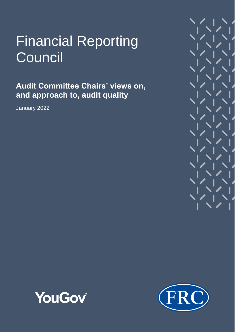# Financial Reporting **Council**

**Audit Committee Chairs' views on, and approach to, audit quality**

January 2022





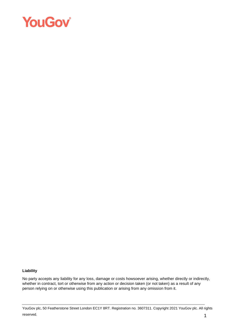

#### **Liability**

No party accepts any liability for any loss, damage or costs howsoever arising, whether directly or indirectly, whether in contract, tort or otherwise from any action or decision taken (or not taken) as a result of any person relying on or otherwise using this publication or arising from any omission from it.

YouGov plc, 50 Featherstone Street London EC1Y 8RT. Registration no. 3607311. Copyright 2021 YouGov plc. All rights reserved. **1**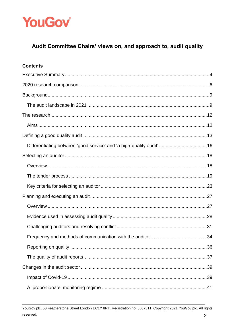

# Audit Committee Chairs' views on, and approach to, audit quality

#### **Contents**

| Differentiating between 'good service' and 'a high-quality audit' 16 |
|----------------------------------------------------------------------|
|                                                                      |
|                                                                      |
|                                                                      |
|                                                                      |
|                                                                      |
|                                                                      |
|                                                                      |
|                                                                      |
|                                                                      |
| 36                                                                   |
|                                                                      |
|                                                                      |
|                                                                      |
|                                                                      |

YouGov plc, 50 Featherstone Street London EC1Y 8RT. Registration no. 3607311. Copyright 2021 YouGov plc. All rights reserved. 2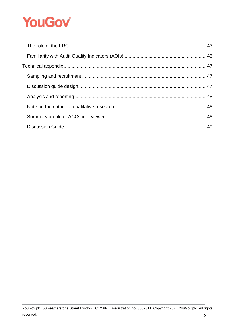# **YouGov**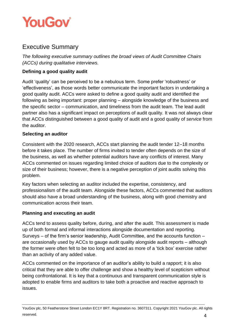

# <span id="page-4-0"></span>Executive Summary

*The following executive summary outlines the broad views of Audit Committee Chairs (ACCs) during qualitative interviews.* 

#### **Defining a good quality audit**

Audit 'quality' can be perceived to be a nebulous term. Some prefer 'robustness' or 'effectiveness', as those words better communicate the important factors in undertaking a good quality audit. ACCs were asked to define a good quality audit and identified the following as being important: proper planning – alongside knowledge of the business and the specific sector – communication, and timeliness from the audit team. The lead audit partner also has a significant impact on perceptions of audit quality. It was not always clear that ACCs distinguished between a good quality of audit and a good quality of *service* from the auditor.

#### **Selecting an auditor**

Consistent with the 2020 research, ACCs start planning the audit tender 12–18 months before it takes place. The number of firms invited to tender often depends on the size of the business, as well as whether potential auditors have any conflicts of interest. Many ACCs commented on issues regarding limited choice of auditors due to the complexity or size of their business; however, there is a negative perception of joint audits solving this problem.

Key factors when selecting an auditor included the expertise, consistency, and professionalism of the audit team. Alongside these factors, ACCs commented that auditors should also have a broad understanding of the business, along with good chemistry and communication across their team.

#### **Planning and executing an audit**

ACCs tend to assess quality before, during, and after the audit. This assessment is made up of both formal and informal interactions alongside documentation and reporting. Surveys – of the firm's senior leadership, Audit Committee, and the accounts function – are occasionally used by ACCs to gauge audit quality alongside audit reports – although the former were often felt to be too long and acted as more of a 'tick box' exercise rather than an activity of any added value.

ACCs commented on the importance of an auditor's ability to build a rapport; it is also critical that they are able to offer challenge and show a healthy level of scepticism without being confrontational. It is key that a continuous and transparent communication style is adopted to enable firms and auditors to take both a proactive and reactive approach to issues.

YouGov plc, 50 Featherstone Street London EC1Y 8RT. Registration no. 3607311. Copyright 2021 YouGov plc. All rights reserved.  $4$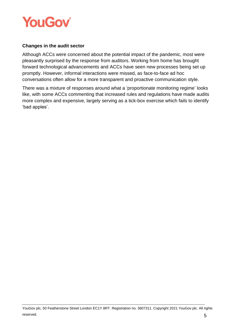

#### **Changes in the audit sector**

Although ACCs were concerned about the potential impact of the pandemic, most were pleasantly surprised by the response from auditors. Working from home has brought forward technological advancements and ACCs have seen new processes being set up promptly. However, informal interactions were missed, as face-to-face ad hoc conversations often allow for a more transparent and proactive communication style.

There was a mixture of responses around what a 'proportionate monitoring regime' looks like, with some ACCs commenting that increased rules and regulations have made audits more complex and expensive, largely serving as a tick-box exercise which fails to identify 'bad apples'.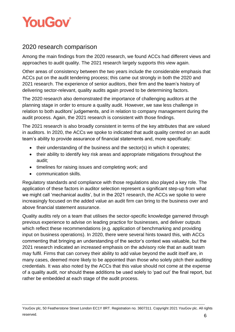

# <span id="page-6-0"></span>2020 research comparison

Among the main findings from the 2020 research, we found ACCs had different views and approaches to audit quality. The 2021 research largely supports this view again.

Other areas of consistency between the two years include the considerable emphasis that ACCs put on the audit tendering process; this came out strongly in both the 2020 and 2021 research. The experience of senior auditors, their firm and the team's history of delivering sector-relevant, quality audits again proved to be determining factors.

The 2020 research also demonstrated the importance of challenging auditors at the planning stage in order to ensure a quality audit. However, we saw less challenge in relation to both auditors' judgements, and in relation to company management during the audit process. Again, the 2021 research is consistent with those findings.

The 2021 research is also broadly consistent in terms of the key attributes that are valued in auditors. In 2020, the ACCs we spoke to indicated that audit quality centred on an audit team's ability to provide assurance of financial statements and, more specifically:

- their understanding of the business and the sector(s) in which it operates;
- their ability to identify key risk areas and appropriate mitigations throughout the audit;
- timelines for raising issues and completing work; and
- communication skills.

Regulatory standards and compliance with those regulations also played a key role. The application of these factors in auditor selection represent a significant step-up from what we might call 'mechanical audits', but in the 2021 research, the ACCs we spoke to were increasingly focused on the added value an audit firm can bring to the business over and above financial statement assurance.

Quality audits rely on a team that utilises the sector-specific knowledge garnered through previous experience to advise on leading practice for businesses, and deliver outputs which reflect these recommendations (e.g. application of benchmarking and providing input on business operations). In 2020, there were several hints toward this, with ACCs commenting that bringing an understanding of the sector's context was valuable, but the 2021 research indicated an increased emphasis on the advisory role that an audit team may fulfil. Firms that can convey their ability to add value beyond the audit itself are, in many cases, deemed more likely to be appointed than those who solely pitch their auditing credentials. It was also noted by the ACCs that this value should not come at the expense of a quality audit, nor should these additions be used solely to 'pad out' the final report, but rather be embedded at each stage of the audit process.

YouGov plc, 50 Featherstone Street London EC1Y 8RT. Registration no. 3607311. Copyright 2021 YouGov plc. All rights reserved.  $6$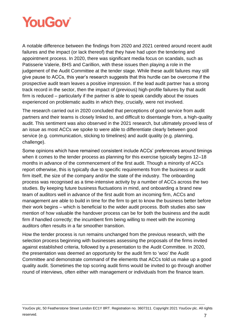

A notable difference between the findings from 2020 and 2021 centred around recent audit failures and the impact (or lack thereof) that they have had upon the tendering and appointment process. In 2020, there was significant media focus on scandals, such as Patisserie Valerie, BHS and Carillion, with these issues then playing a role in the judgement of the Audit Committee at the tender stage. While these audit failures may still give pause to ACCs, this year's research suggests that this hurdle can be overcome if the prospective audit team leaves a positive impression. If the lead audit partner has a strong track record in the sector, then the impact of (previous) high-profile failures by that audit firm is reduced – particularly if the partner is able to speak candidly about the issues experienced on problematic audits in which they, crucially, were not involved.

The research carried out in 2020 concluded that perceptions of good service from audit partners and their teams is closely linked to, and difficult to disentangle from, a high-quality audit. This sentiment was also observed in the 2021 research, but ultimately proved less of an issue as most ACCs we spoke to were able to differentiate clearly between good service (e.g. communication, sticking to timelines) and audit quality (e.g. planning, challenge).

Some opinions which have remained consistent include ACCs' preferences around timings when it comes to the tender process as planning for this exercise typically begins 12–18 months in advance of the commencement of the first audit. Though a minority of ACCs report otherwise, this is typically due to specific requirements from the business or audit firm itself, the size of the company and/or the state of the industry. The onboarding process was recognised as a time-intensive activity by a number of ACCs across the two studies. By keeping future business fluctuations in mind, and onboarding a brand new team of auditors well in advance of the first audit from an incoming firm, ACCs and management are able to build in time for the firm to get to know the business better before their work begins – which is beneficial to the wider audit process. Both studies also saw mention of how valuable the handover process can be for both the business and the audit firm if handled correctly; the incumbent firm being willing to meet with the incoming auditors often results in a far smoother transition.

How the tender process is run remains unchanged from the previous research, with the selection process beginning with businesses assessing the proposals of the firms invited against established criteria, followed by a presentation to the Audit Committee. In 2020, the presentation was deemed an opportunity for the audit firm to 'woo' the Audit Committee and demonstrate command of the elements that ACCs told us make up a good quality audit. Sometimes the top scoring audit firms would be invited to go through another round of interviews, often either with management or individuals from the finance team.

YouGov plc, 50 Featherstone Street London EC1Y 8RT. Registration no. 3607311. Copyright 2021 YouGov plc. All rights reserved.  $7$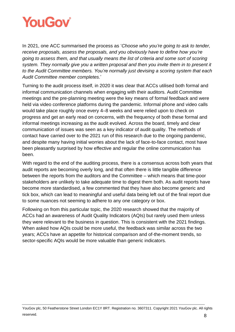

In 2021, one ACC summarised the process as '*Choose who you're going to ask to tender, receive proposals, assess the proposals, and you obviously have to define how you're going to assess them, and that usually means the list of criteria and some sort of scoring system. They normally give you a written proposal and then you invite them in to present it to the Audit Committee members. You're normally just devising a scoring system that each Audit Committee member completes.*'

Turning to the audit process itself, in 2020 it was clear that ACCs utilised both formal and informal communication channels when engaging with their auditors. Audit Committee meetings and the pre-planning meeting were the key means of formal feedback and were held via video conference platforms during the pandemic. Informal phone and video calls would take place roughly once every 4–8 weeks and were relied upon to check on progress and get an early read on concerns, with the frequency of both these formal and informal meetings increasing as the audit evolved. Across the board, timely and clear communication of issues was seen as a key indicator of audit quality. The methods of contact have carried over to the 2021 run of this research due to the ongoing pandemic, and despite many having initial worries about the lack of face-to-face contact, most have been pleasantly surprised by how effective and regular the online communication has been.

With regard to the end of the auditing process, there is a consensus across both years that audit reports are becoming overly long, and that often there is little tangible difference between the reports from the auditors and the Committee – which means that time-poor stakeholders are unlikely to take adequate time to digest them both. As audit reports have become more standardised, a few commented that they have also become generic and tick box, which can lead to meaningful and useful data being left out of the final report due to some nuances not seeming to adhere to any one category or box.

Following on from this particular topic, the 2020 research showed that the majority of ACCs had an awareness of Audit Quality Indicators (AQIs) but rarely used them unless they were relevant to the business in question. This is consistent with the 2021 findings. When asked how AQIs could be more useful, the feedback was similar across the two years; ACCs have an appetite for historical comparison and of-the-moment trends, so sector-specific AQIs would be more valuable than generic indicators.

YouGov plc, 50 Featherstone Street London EC1Y 8RT. Registration no. 3607311. Copyright 2021 YouGov plc. All rights reserved. 8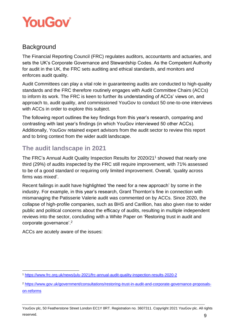

# <span id="page-9-0"></span>**Background**

The Financial Reporting Council (FRC) regulates auditors, accountants and actuaries, and sets the UK's Corporate Governance and Stewardship Codes. As the Competent Authority for audit in the UK, the FRC sets auditing and ethical standards, and monitors and enforces audit quality.

Audit Committees can play a vital role in guaranteeing audits are conducted to high-quality standards and the FRC therefore routinely engages with Audit Committee Chairs (ACCs) to inform its work. The FRC is keen to further its understanding of ACCs' views on, and approach to, audit quality, and commissioned YouGov to conduct 50 one-to-one interviews with ACCs in order to explore this subject.

The following report outlines the key findings from this year's research, comparing and contrasting with last year's findings (in which YouGov interviewed 50 other ACCs). Additionally, YouGov retained expert advisors from the audit sector to review this report and to bring context from the wider audit landscape.

# <span id="page-9-1"></span>**The audit landscape in 2021**

The FRC's Annual Audit Quality Inspection Results for 2020/21<sup>1</sup> showed that nearly one third (29%) of audits inspected by the FRC still require improvement, with 71% assessed to be of a good standard or requiring only limited improvement. Overall, 'quality across firms was mixed'.

Recent failings in audit have highlighted 'the need for a new approach' by some in the industry. For example, in this year's research, Grant Thornton's fine in connection with mismanaging the Patisserie Valerie audit was commented on by ACCs. Since 2020, the collapse of high-profile companies, such as BHS and Carillion, has also given rise to wider public and political concerns about the efficacy of audits, resulting in multiple independent reviews into the sector, concluding with a White Paper on 'Restoring trust in audit and corporate governance'.<sup>2</sup>

ACCs are acutely aware of the issues:

<sup>1</sup> <https://www.frc.org.uk/news/july-2021/frc-annual-audit-quality-inspection-results-2020-2>

<sup>2</sup> [https://www.gov.uk/government/consultations/restoring-trust-in-audit-and-corporate-governance-proposals](https://www.gov.uk/government/consultations/restoring-trust-in-audit-and-corporate-governance-proposals-on-reforms)[on-reforms](https://www.gov.uk/government/consultations/restoring-trust-in-audit-and-corporate-governance-proposals-on-reforms)

YouGov plc, 50 Featherstone Street London EC1Y 8RT. Registration no. 3607311. Copyright 2021 YouGov plc. All rights reserved. 9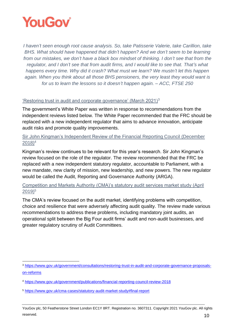

*I haven't seen enough root cause analysis. So, take Patisserie Valerie, take Carillion, take BHS. What should have happened that didn't happen? And we don't seem to be learning from our mistakes, we don't have a black box mindset of thinking. I don't see that from the regulator, and I don't see that from audit firms, and I would like to see that. That's what happens every time. Why did it crash? What must we learn? We mustn't let this happen again. When you think about all those BHS pensioners, the very least they would want is for us to learn the lessons so it doesn't happen again. – ACC, FTSE 250*

#### 'Restoring trust in audit and corporate governance' (March 2021)<sup>3</sup>

The government's White Paper was written in response to recommendations from the independent reviews listed below. The White Paper recommended that the FRC should be replaced with a new independent regulator that aims to advance innovation, anticipate audit risks and promote quality improvements.

Sir John Kingman's Independent Review of the Financial Reporting Council (December  $2018)^4$ 

Kingman's review continues to be relevant for this year's research. Sir John Kingman's review focused on the role of the regulator. The review recommended that the FRC be replaced with a new independent statutory regulator, accountable to Parliament, with a new mandate, new clarity of mission, new leadership, and new powers. The new regulator would be called the Audit, Reporting and Governance Authority (ARGA).

#### Competition and Markets Authority (CMA)'s statutory audit services market study (April 2019)<sup>5</sup>

The CMA's review focused on the audit market, identifying problems with competition, choice and resilience that were adversely affecting audit quality. The review made various recommendations to address these problems, including mandatory joint audits, an operational split between the Big Four audit firms' audit and non-audit businesses, and greater regulatory scrutiny of Audit Committees.

<sup>3</sup> [https://www.gov.uk/government/consultations/restoring-trust-in-audit-and-corporate-governance-proposals](https://www.gov.uk/government/consultations/restoring-trust-in-audit-and-corporate-governance-proposals-on-reforms)[on-reforms](https://www.gov.uk/government/consultations/restoring-trust-in-audit-and-corporate-governance-proposals-on-reforms)

<sup>4</sup> <https://www.gov.uk/government/publications/financial-reporting-council-review-2018>

<sup>5</sup> <https://www.gov.uk/cma-cases/statutory-audit-market-study#final-report>

YouGov plc, 50 Featherstone Street London EC1Y 8RT. Registration no. 3607311. Copyright 2021 YouGov plc. All rights reserved.  $10$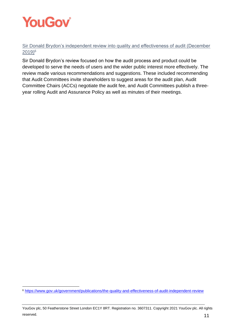

Sir Donald Brydon's independent review into quality and effectiveness of audit (December 2019)<sup>6</sup>

Sir Donald Brydon's review focused on how the audit process and product could be developed to serve the needs of users and the wider public interest more effectively. The review made various recommendations and suggestions. These included recommending that Audit Committees invite shareholders to suggest areas for the audit plan, Audit Committee Chairs (ACCs) negotiate the audit fee, and Audit Committees publish a threeyear rolling Audit and Assurance Policy as well as minutes of their meetings.

YouGov plc, 50 Featherstone Street London EC1Y 8RT. Registration no. 3607311. Copyright 2021 YouGov plc. All rights reserved. **11** 

<sup>6</sup> <https://www.gov.uk/government/publications/the-quality-and-effectiveness-of-audit-independent-review>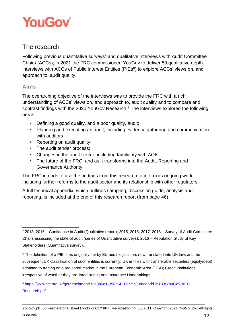

# <span id="page-12-0"></span>The research

Following previous quantitative surveys<sup>7</sup> and qualitative interviews with Audit Committee Chairs (ACCs), in 2021 the FRC commissioned YouGov to deliver 50 qualitative depth interviews with ACCs of Public Interest Entities (PIEs<sup>8</sup>) to explore ACCs' views on, and approach to, audit quality.

## <span id="page-12-1"></span>**Aims**

The overarching objective of the interviews was to provide the FRC with a rich understanding of ACCs' views on, and approach to, audit quality and to compare and contrast findings with the 2020 YouGov Research. <sup>9</sup> The interviews explored the following areas:

- Defining a good quality, and a poor quality, audit;
- Planning and executing an audit, including evidence gathering and communication with auditors;
- Reporting on audit quality;
- The audit tender process;
- Changes in the audit sector, including familiarity with AQIs;
- The future of the FRC, and as it transforms into the Audit, Reporting and Governance Authority.

The FRC intends to use the findings from this research to inform its ongoing work, including further reforms to the audit sector and its relationship with other regulators.

A full technical appendix, which outlines sampling, discussion guide, analysis and reporting, is included at the end of this research report (from page 46).

<sup>7</sup> 2013, 2016 – Confidence in Audit (Qualitative report); 2015, 2016, 2017, 2018 – Survey of Audit Committee Chairs assessing the state of audit (series of Quantitative surveys); 2016 – Reputation Study of Key Stakeholders (Quantitative survey).

<sup>&</sup>lt;sup>8</sup> The definition of a PIE is as originally set by EU audit legislation, now translated into UK law, and the subsequent UK classification of such entities is currently: UK entities with transferable securities (equity/debt) admitted to trading on a regulated market in the European Economic Area (EEA); Credit Institutions, irrespective of whether they are listed or not; and Insurance Undertakings.

<sup>9</sup> [https://www.frc.org.uk/getattachment/33a3b6e1-958a-4212-95c8-8aca6dd1b183/YouGov-ACC-](https://www.frc.org.uk/getattachment/33a3b6e1-958a-4212-95c8-8aca6dd1b183/YouGov-ACC-Research.pdf)[Research.pdf](https://www.frc.org.uk/getattachment/33a3b6e1-958a-4212-95c8-8aca6dd1b183/YouGov-ACC-Research.pdf)

YouGov plc, 50 Featherstone Street London EC1Y 8RT. Registration no. 3607311. Copyright 2021 YouGov plc. All rights reserved.  $12$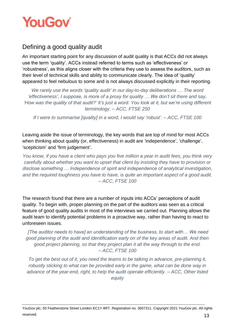

# <span id="page-13-0"></span>Defining a good quality audit

An important starting point for any discussion of audit quality is that ACCs did not always use the term 'quality'. ACCs instead referred to terms such as 'effectiveness' or 'robustness', as this aligns closer with the criteria they use to assess the auditors, such as their level of technical skills and ability to communicate clearly. The idea of 'quality' appeared to feel nebulous to some and is not always discussed explicitly in their reporting.

*We rarely use the words 'quality audit' in our day-to-day deliberations … The word 'effectiveness', I suppose, is more of a proxy for quality … We don't sit there and say, 'How was the quality of that audit?' It's just a word. You look at it, but we're using different terminology. – ACC, FTSE 250*

*If I were to summarise [quality] in a word, I would say 'robust'. – ACC, FTSE 100*

Leaving aside the issue of terminology, the key words that are top of mind for most ACCs when thinking about quality (or, effectiveness) in audit are 'independence', 'challenge', 'scepticism' and 'firm judgement'.

*You know, if you have a client who pays you five million a year in audit fees, you think very carefully about whether you want to upset that client by insisting they have to provision or disclose something … Independence of spirit and independence of analytical investigation, and the required toughness you have to have, is quite an important aspect of a good audit. – ACC, FTSE 100*

The research found that there are a number of inputs into ACCs' perceptions of audit quality. To begin with, proper planning on the part of the auditors was seen as a critical feature of good quality audits in most of the interviews we carried out. Planning allows the audit team to identify potential problems in a proactive way, rather than having to react to unforeseen issues.

*[The auditor needs to have] an understanding of the business, to start with… We need good planning of the audit and identification early on of the key areas of audit. And then good project planning, so that they project plan it all the way through to the end. – ACC, FTSE 100*

*To get the best out of it, you need the teams to be talking in advance, pre-planning it, robustly sticking to what can be provided early in the game, what can be done way in advance of the year-end, right, to help the audit operate efficiently. – ACC, Other listed equity*

YouGov plc, 50 Featherstone Street London EC1Y 8RT. Registration no. 3607311. Copyright 2021 YouGov plc. All rights reserved.  $13$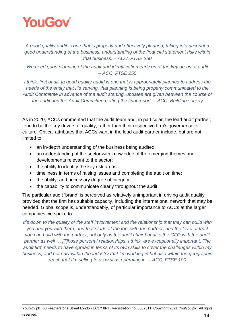

*A good quality audit is one that is properly and effectively planned, taking into account a good understanding of the business, understanding of the financial statement risks within that business. – ACC, FTSE 250*

*We need good planning of the audit and identification early on of the key areas of audit. – ACC, FTSE 250*

*I think, first of all, [a good quality audit] is one that is appropriately planned to address the needs of the entity that it's serving, that planning is being properly communicated to the Audit Committee in advance of the audit starting, updates are given between the course of the audit and the Audit Committee getting the final report. – ACC*, *Building society*

As in 2020, ACCs commented that the audit team and, in particular, the lead audit partner, tend to be the key drivers of quality, rather than their respective firm's governance or culture. Critical attributes that ACCs want in the lead audit partner include, but are not limited to:

- an in-depth understanding of the business being audited;
- an understanding of the sector with knowledge of the emerging themes and developments relevant to the sector;
- the ability to identify the key risk areas;
- timeliness in terms of raising issues and completing the audit on time;
- the ability, and necessary degree of integrity;
- the capability to communicate clearly throughout the audit.

The particular audit 'brand' is perceived as relatively unimportant in driving audit quality provided that the firm has suitable capacity, including the international network that may be needed. Global scope is, understandably, of particular importance to ACCs at the larger companies we spoke to.

*It's down to the quality of the staff involvement and the relationship that they can build with you and you with them, and that starts at the top, with the partner, and the level of trust you can build with the partner, not only as the audit chair but also the CFO with the audit partner as well … [T]hose personal relationships, I think, are exceptionally important. The audit firm needs to have spread in terms of its own skills to cover the challenges within my business, and not only within the industry that I'm working in but also within the geographic reach that I'm selling to as well as operating in. – ACC, FTSE 100*

YouGov plc, 50 Featherstone Street London EC1Y 8RT. Registration no. 3607311. Copyright 2021 YouGov plc. All rights reserved.  $14$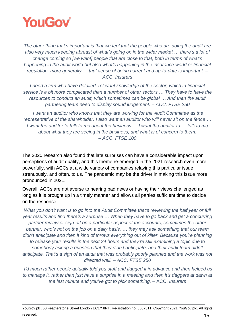

*The other thing that's important is that we feel that the people who are doing the audit are also very much keeping abreast of what's going on in the wider market … there's a lot of change coming so [we want] people that are close to that, both in terms of what's happening in the audit world but also what's happening in the insurance world or financial regulation, more generally … that sense of being current and up-to-date is important. – ACC, Insurers*

*I need a firm who have detailed, relevant knowledge of the sector, which in financial service is a bit more complicated than a number of other sectors … They have to have the resources to conduct an audit, which sometimes can be global … And then the audit partnering team need to display sound judgement. – ACC, FTSE 250*

*I want an auditor who knows that they are working for the Audit Committee as the representative of the shareholder. I also want an auditor who will never sit on the fence … I* want the auditor to talk to me about the business ... I want the auditor to ... talk to me *about what they are seeing in the business, and what is of concern to them. – ACC, FTSE 100*

The 2020 research also found that late surprises can have a considerable impact upon perceptions of audit quality, and this theme re-emerged in the 2021 research even more powerfully, with ACCs at a wide variety of companies relaying this particular issue strenuously, and often, to us. The pandemic may be the driver in making this issue more pronounced in 2021.

Overall, ACCs are not averse to hearing bad news or having their views challenged as long as it is brought up in a timely manner and allows all parties sufficient time to decide on the response.

*What you don't want is to go into the Audit Committee that's reviewing the half year or full year results and find there's a surprise … When they have to go back and get a concurring partner review or sign-off on a particular aspect of the accounts, sometimes the other partner, who's not on the job on a daily basis, … they may ask something that our team didn't anticipate and then it kind of throws everything out of kilter. Because you're planning to release your results in the next 24 hours and they're still examining a topic due to somebody asking a question that they didn't anticipate, and their audit team didn't anticipate. That's a sign of an audit that was probably poorly planned and the work was not directed well. – ACC, FTSE 250*

*I'd much rather people actually told you stuff and flagged it in advance and then helped us to manage it, rather than just have a surprise in a meeting and then it's daggers at dawn at the last minute and you've got to pick something. –* ACC, *Insurers*

YouGov plc, 50 Featherstone Street London EC1Y 8RT. Registration no. 3607311. Copyright 2021 YouGov plc. All rights reserved.  $15$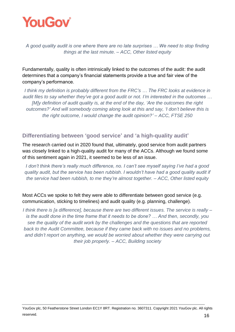

*A good quality audit is one where there are no late surprises … We need to stop finding things at the last minute. – ACC, Other listed equity*

Fundamentally, quality is often intrinsically linked to the outcomes of the audit: the audit determines that a company's financial statements provide a true and fair view of the company's performance.

*I think my definition is probably different from the FRC's … The FRC looks at evidence in audit files to say whether they've got a good audit or not. I'm interested in the outcomes … [M]y definition of audit quality is, at the end of the day, 'Are the outcomes the right outcomes?' And will somebody coming along look at this and say, 'I don't believe this is the right outcome, I would change the audit opinion?' – ACC, FTSE 250*

## <span id="page-16-0"></span>**Differentiating between 'good service' and 'a high-quality audit'**

The research carried out in 2020 found that, ultimately, good service from audit partners was closely linked to a high-quality audit for many of the ACCs. Although we found some of this sentiment again in 2021, it seemed to be less of an issue.

*I don't think there's really much difference, no. I can't see myself saying I've had a good quality audit, but the service has been rubbish. I wouldn't have had a good quality audit if the service had been rubbish, to me they're almost together. – ACC, Other listed equity*

Most ACCs we spoke to felt they were able to differentiate between good service (e.g. communication, sticking to timelines) and audit quality (e.g. planning, challenge).

*I think there is [a difference], because there are two different issues. The service is really – is the audit done in the time frame that it needs to be done? … And then, secondly, you see the quality of the audit work by the challenges and the questions that are reported back to the Audit Committee, because if they came back with no issues and no problems, and didn't report on anything, we would be worried about whether they were carrying out their job properly. – ACC, Building society*

YouGov plc, 50 Featherstone Street London EC1Y 8RT. Registration no. 3607311. Copyright 2021 YouGov plc. All rights reserved.  $16$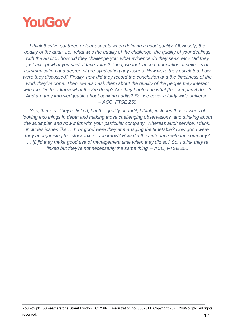

*I think they've got three or four aspects when defining a good quality. Obviously, the quality of the audit, i.e., what was the quality of the challenge, the quality of your dealings with the auditor, how did they challenge you, what evidence do they seek, etc? Did they just accept what you said at face value? Then, we look at communication, timeliness of communication and degree of pre-syndicating any issues. How were they escalated, how were they discussed? Finally, how did they record the conclusion and the timeliness of the work they've done. Then, we also ask them about the quality of the people they interact with too. Do they know what they're doing? Are they briefed on what [the company] does? And are they knowledgeable about banking audits? So, we cover a fairly wide universe. – ACC, FTSE 250*

*Yes, there is. They're linked, but the quality of audit, I think, includes those issues of looking into things in depth and making those challenging observations, and thinking about the audit plan and how it fits with your particular company. Whereas audit service, I think, includes issues like ... how good were they at managing the timetable? How good were they at organising the stock-takes, you know? How did they interface with the company? … [D]id they make good use of management time when they did so? So, I think they're linked but they're not necessarily the same thing. – ACC, FTSE 250*

YouGov plc, 50 Featherstone Street London EC1Y 8RT. Registration no. 3607311. Copyright 2021 YouGov plc. All rights reserved.  $17$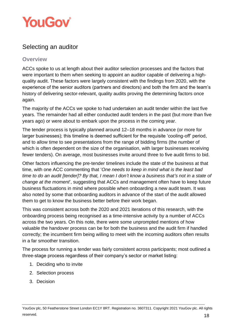

# <span id="page-18-0"></span>Selecting an auditor

## <span id="page-18-1"></span>**Overview**

ACCs spoke to us at length about their auditor selection processes and the factors that were important to them when seeking to appoint an auditor capable of delivering a highquality audit. These factors were largely consistent with the findings from 2020, with the experience of the senior auditors (partners and directors) and both the firm and the team's history of delivering sector-relevant, quality audits proving the determining factors once again.

The majority of the ACCs we spoke to had undertaken an audit tender within the last five years. The remainder had all either conducted audit tenders in the past (but more than five years ago) or were about to embark upon the process in the coming year.

The tender process is typically planned around 12–18 months in advance (or more for larger businesses); this timeline is deemed sufficient for the requisite 'cooling-off' period, and to allow time to see presentations from the range of bidding firms (the number of which is often dependent on the size of the organisation, with larger businesses receiving fewer tenders). On average, most businesses invite around three to five audit firms to bid.

Other factors influencing the pre-tender timelines include the state of the business at that time, with one ACC commenting that '*One needs to keep in mind what is the least bad time to do an audit [tender]? By that, I mean I don't know a business that's not in a state of change at the moment*', suggesting that ACCs and management often have to keep future business fluctuations in mind where possible when onboarding a new audit team. It was also noted by some that onboarding auditors in advance of the start of the audit allowed them to get to know the business better before their work began.

This was consistent across both the 2020 and 2021 iterations of this research, with the onboarding process being recognised as a time-intensive activity by a number of ACCs across the two years. On this note, there were some unprompted mentions of how valuable the handover process can be for both the business and the audit firm if handled correctly; the incumbent firm being willing to meet with the incoming auditors often results in a far smoother transition.

The process for running a tender was fairly consistent across participants; most outlined a three-stage process regardless of their company's sector or market listing:

- 1. Deciding who to invite
- 2. Selection process
- 3. Decision

YouGov plc, 50 Featherstone Street London EC1Y 8RT. Registration no. 3607311. Copyright 2021 YouGov plc. All rights reserved. **18**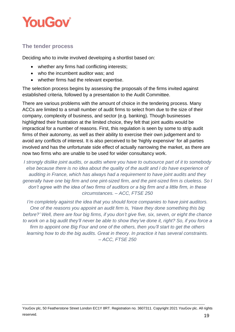

## <span id="page-19-0"></span>**The tender process**

Deciding who to invite involved developing a shortlist based on:

- whether any firms had conflicting interests;
- who the incumbent auditor was: and
- whether firms had the relevant expertise.

The selection process begins by assessing the proposals of the firms invited against established criteria, followed by a presentation to the Audit Committee.

There are various problems with the amount of choice in the tendering process. Many ACCs are limited to a small number of audit firms to select from due to the size of their company, complexity of business, and sector (e.g. banking). Though businesses highlighted their frustration at the limited choice, they felt that joint audits would be impractical for a number of reasons. First, this regulation is seen by some to strip audit firms of their autonomy, as well as their ability to exercise their own judgement and to avoid any conflicts of interest. It is also perceived to be 'highly expensive' for all parties involved and has the unfortunate side effect of actually narrowing the market, as there are now two firms who are unable to be used for wider consultancy work.

*I strongly dislike joint audits, or audits where you have to outsource part of it to somebody else because there is no idea about the quality of the audit and I do have experience of auditing in France, which has always had a requirement to have joint audits and they generally have one big firm and one pint-sized firm, and the pint-sized firm is clueless. So I don't agree with the idea of two firms of auditors or a big firm and a little firm, in these circumstances. – ACC, FTSE 250*

*I'm completely against the idea that you should force companies to have joint auditors. One of the reasons you appoint an audit firm is, 'Have they done something this big before?' Well, there are four big firms, if you don't give five, six, seven, or eight the chance to work on a big audit they'll never be able to show they've done it, right? So, if you force a firm to appoint one Big Four and one of the others, then you'll start to get the others learning how to do the big audits. Great in theory. In practice it has several constraints. – ACC, FTSE 250*

YouGov plc, 50 Featherstone Street London EC1Y 8RT. Registration no. 3607311. Copyright 2021 YouGov plc. All rights reserved. **19**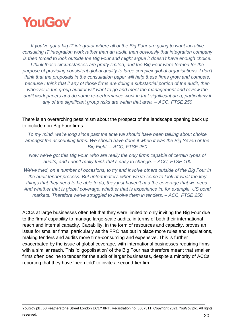

*If you've got a big IT integrator where all of the Big Four are going to want lucrative consulting IT integration work rather than an audit, then obviously that integration company is then forced to look outside the Big Four and might argue it doesn't have enough choice. I think those circumstances are pretty limited, and the Big Four were formed for the purpose of providing consistent global quality to large complex global organisations. I don't think that the proposals in the consultation paper will help these firms grow and compete, because I think that if any of those firms are doing a substantial portion of the audit, then whoever is the group auditor will want to go and meet the management and review the*  audit work papers and do some re-performance work in that significant area, particularly if *any of the significant group risks are within that area. – ACC, FTSE 250*

There is an overarching pessimism about the prospect of the landscape opening back up to include non-Big Four firms:

*To my mind, we're long since past the time we should have been talking about choice amongst the accounting firms. We should have done it when it was the Big Seven or the Big Eight. – ACC, FTSE 250*

*Now we've got this Big Four, who are really the only firms capable of certain types of audits, and I don't really think that's easy to change. – ACC, FTSE 100*

*We've tried, on a number of occasions, to try and involve others outside of the Big Four in the audit tender process. But unfortunately, when we've come to look at what the key things that they need to be able to do, they just haven't had the coverage that we need. And whether that is global coverage, whether that is experience in, for example, US bond markets. Therefore we've struggled to involve them in tenders. – ACC, FTSE 250*

ACCs at large businesses often felt that they were limited to only inviting the Big Four due to the firms' capability to manage large-scale audits, in terms of both their international reach and internal capacity. Capability, in the form of resources and capacity, proves an issue for smaller firms, particularly as the FRC has put in place more rules and regulations, making tenders and audits more time-consuming and expensive. This is further exacerbated by the issue of global coverage, with international businesses requiring firms with a similar reach. This 'oligopolisation' of the Big Four has therefore meant that smaller firms often decline to tender for the audit of larger businesses, despite a minority of ACCs reporting that they have 'been told' to invite a second-tier firm.

YouGov plc, 50 Featherstone Street London EC1Y 8RT. Registration no. 3607311. Copyright 2021 YouGov plc. All rights reserved.  $20$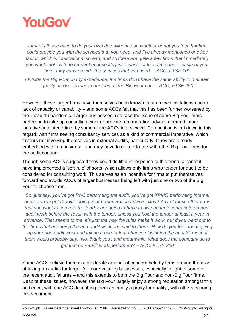

*First of all, you have to do your own due diligence on whether or not you feel that firm could provide you with the services that you need, and I've already mentioned one key factor, which is international spread, and so there are quite a few firms that immediately you would not invite to tender because it's just a waste of their time and a waste of your time: they can't provide the services that you need. – ACC, FTSE 100*

*Outside the Big Four, in my experience, the firms don't have the same ability to maintain quality across as many countries as the Big Four can. – ACC, FTSE 250*

However, these larger firms have themselves been known to turn down invitations due to lack of capacity or capability – and some ACCs felt that this has been further worsened by the Covid-19 pandemic. Larger businesses also face the issue of some Big Four firms preferring to take up consulting work or provide remuneration advice, deemed 'more lucrative and interesting' by some of the ACCs interviewed. Competition is cut down in this regard, with firms seeing consultancy services as a kind of commercial imperative, which favours not involving themselves in external audits, particularly if they are already embedded within a business, and may have to go toe-to-toe with other Big Four firms for the audit contract.

Though some ACCs suggested they could do little in response to this trend, a handful have implemented a 'soft rule' of sorts, which allows only firms who tender for audit to be considered for consulting work. This serves as an incentive for firms to put themselves forward and avoids ACCs of larger businesses being left with just one or two of the Big Four to choose from.

*So, just say, you've got PwC performing the audit, you've got KPMG performing internal audit, you've got Deloitte doing your remuneration advice, okay? Any of those other firms that you want to come to the tender are going to have to give up their contract to do nonaudit work before the result with the tender, unless you hold the tender at least a year in advance. That seems to me, it's just the way the rules make it work, but if you went out to the firms that are doing the non-audit work and said to them, 'How do you feel about giving up your non-audit work and taking a one-in-four chance of winning the audit?', most of them would probably say, 'No, thank you', and meanwhile, what does the company do to get that non-audit work performed? – ACC, FTSE 250*

Some ACCs believe there is a moderate amount of concern held by firms around the risks of taking on audits for larger (or more volatile) businesses, especially in light of some of the recent audit failures – and this extends to both the Big Four and non-Big Four firms. Despite these issues, however, the Big Four largely enjoy a strong reputation amongst this audience, with one ACC describing them as 'really a proxy for quality', with others echoing this sentiment.

YouGov plc, 50 Featherstone Street London EC1Y 8RT. Registration no. 3607311. Copyright 2021 YouGov plc. All rights reserved. 21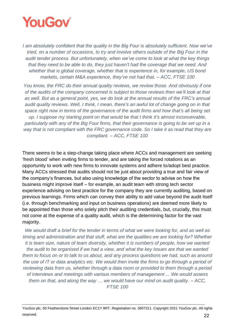

*I am absolutely confident that the quality in the Big Four is absolutely sufficient. Now we've tried, on a number of occasions, to try and involve others outside of the Big Four in the audit tender process. But unfortunately, when we've come to look at what the key things that they need to be able to do, they just haven't had the coverage that we need. And whether that is global coverage, whether that is experience in, for example, US bond markets, certain M&A experience, they've not had that. – ACC, FTSE 100*

*You know, the FRC do their annual quality reviews, we review those. And obviously if one of the audits of the company concerned is subject to those reviews then we'll look at that as well. But as a general point, yes, we do look at the annual results of the FRC's annual audit quality reviews. Well, I think, I mean, there's an awful lot of change going on in that space right now in terms of the governance of the audit firms and how that's all being set up. I suppose my starting point on that would be that I think it's almost inconceivable, particularly with any of the Big Four firms, that their governance is going to be set up in a way that is not compliant with the FRC governance code. So I take it as read that they are compliant. – ACC, FTSE 100*

There seems to be a step-change taking place where ACCs and management are seeking 'fresh blood' when inviting firms to tender, and are taking the forced rotations as an opportunity to work with new firms to innovate systems and adhere to/adopt best practice. Many ACCs stressed that audits should not be just about providing a true and fair view of the company's finances, but also using knowledge of the sector to advise on how the business might improve itself – for example, an audit team with strong tech sector experience advising on best practice for the company they are currently auditing, based on previous learnings. Firms which can convey their ability to add value beyond the audit itself (i.e. through benchmarking and input on business operations) are deemed more likely to be appointed than those who solely pitch their auditing credentials, but, crucially, this must not come at the expense of a quality audit, which is the determining factor for the vast majority.

*We would draft a brief for the tender in terms of what we were looking for, and as well as timing and administration and that stuff, what are the qualities we are looking for? Whether it is team size, nature of team diversity, whether it is numbers of people, how we wanted the audit to be organised if we had a view, and what the key issues are that we wanted them to focus on or to talk to us about, and any process questions we had, such as around the use of IT or data analytics etc. We would then invite the firms to go through a period of reviewing data from us, whether through a data room or provided to them through a period of interviews and meetings with various members of management ... We would assess them on that, and along the way … we would have our mind on audit quality. – ACC,* 

*FTSE 100*

YouGov plc, 50 Featherstone Street London EC1Y 8RT. Registration no. 3607311. Copyright 2021 YouGov plc. All rights reserved. 22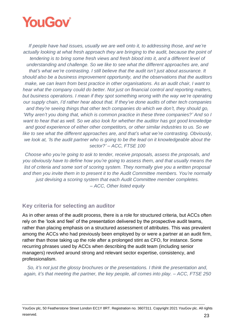

*If people have had issues, usually we are well onto it, to addressing those, and we're actually looking at what fresh approach they are bringing to the audit, because the point of tendering is to bring some fresh views and fresh blood into it, and a different level of understanding and challenge. So we like to see what the different approaches are, and that's what we're contrasting. I still believe that the audit isn't just about assurance. It should also be a business improvement opportunity, and the observations that the auditors make, we can learn from best practice in other organisations. As an audit chair, I want to hear what the company could do better. Not just on financial control and reporting matters,*  but business operations. I mean if they spot something wrong with the way we're operating *our supply chain, I'd rather hear about that. If they've done audits of other tech companies and they're seeing things that other tech companies do which we don't, they should go, 'Why aren't you doing that, which is common practice in these three companies?' And so I want to hear that as well. So we also look for whether the auditor has got good knowledge and good experience of either other competitors, or other similar industries to us. So we like to see what the different approaches are, and that's what we're contrasting. Obviously, we look at, 'Is the audit partner who is going to be the lead on it knowledgeable about the sector?' – ACC, FTSE 100*

*Choose who you're going to ask to tender, receive proposals, assess the proposals, and you obviously have to define how you're going to assess them, and that usually means the list of criteria and some sort of scoring system. They normally give you a written proposal and then you invite them in to present it to the Audit Committee members. You're normally just devising a scoring system that each Audit Committee member completes. – ACC, Other listed equity*

### <span id="page-23-0"></span>**Key criteria for selecting an auditor**

As in other areas of the audit process, there is a role for structured criteria, but ACCs often rely on the 'look and feel' of the presentation delivered by the prospective audit teams, rather than placing emphasis on a structured assessment of attributes. This was prevalent among the ACCs who had previously been employed by or were a partner at an audit firm, rather than those taking up the role after a prolonged stint as CFO, for instance. Some recurring phrases used by ACCs when describing the audit team (including senior managers) revolved around strong and relevant sector expertise, consistency, and professionalism.

*So, it's not just the glossy brochures or the presentations. I think the presentation and, again, it's that meeting the partner, the key people, all comes into play. – ACC, FTSE 250*

YouGov plc, 50 Featherstone Street London EC1Y 8RT. Registration no. 3607311. Copyright 2021 YouGov plc. All rights reserved.  $23$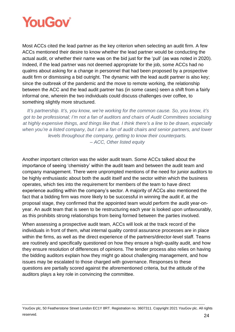

Most ACCs cited the lead partner as the key criterion when selecting an audit firm. A few ACCs mentioned their desire to know whether the lead partner would be conducting the actual audit, or whether their name was on the bid just for the 'pull' (as was noted in 2020). Indeed, if the lead partner was not deemed appropriate for the job, some ACCs had no qualms about asking for a change in personnel that had been proposed by a prospective audit firm or dismissing a bid outright. The dynamic with the lead audit partner is also key; since the outbreak of the pandemic and the move to remote working, the relationship between the ACC and the lead audit partner has (in some cases) seen a shift from a fairly informal one, wherein the two individuals could discuss challenges over coffee, to something slightly more structured.

*It's partnership. It's, you know, we're working for the common cause. So, you know, it's got to be professional; I'm not a fan of auditors and chairs of Audit Committees socialising at highly expensive things, and things like that. I think there's a line to be drawn, especially when you're a listed company, but I am a fan of audit chairs and senior partners, and lower levels throughout the company, getting to know their counterparts. – ACC, Other listed equity*

Another important criterion was the wider audit team. Some ACCs talked about the importance of seeing 'chemistry' within the audit team and between the audit team and company management. There were unprompted mentions of the need for junior auditors to be highly enthusiastic about both the audit itself and the sector within which the business operates, which ties into the requirement for members of the team to have direct experience auditing within the company's sector. A majority of ACCs also mentioned the fact that a bidding firm was more likely to be successful in winning the audit if, at the proposal stage, they confirmed that the appointed team would perform the audit year-onyear. An audit team that is seen to be restructuring each year is looked upon unfavourably, as this prohibits strong relationships from being formed between the parties involved.

When assessing a prospective audit team, ACCs will look at the track record of the individuals in front of them, what internal quality control assurance processes are in place within the firms, as well as the direct experience of the partners/director-level staff. Teams are routinely and specifically questioned on how they ensure a high-quality audit, and how they ensure resolution of differences of opinions. The tender process also relies on having the bidding auditors explain how they might go about challenging management, and how issues may be escalated to those charged with governance. Responses to these questions are partially scored against the aforementioned criteria, but the attitude of the auditors plays a key role in convincing the committee.

YouGov plc, 50 Featherstone Street London EC1Y 8RT. Registration no. 3607311. Copyright 2021 YouGov plc. All rights reserved.  $24$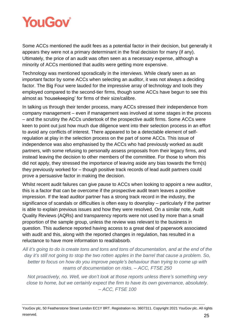

Some ACCs mentioned the audit fees as a potential factor in their decision, but generally it appears they were not a primary determinant in the final decision for many (if any). Ultimately, the price of an audit was often seen as a necessary expense, although a minority of ACCs mentioned that audits were getting more expensive.

Technology was mentioned sporadically in the interviews. While clearly seen as an important factor by some ACCs when selecting an auditor, it was not always a deciding factor. The Big Four were lauded for the impressive array of technology and tools they employed compared to the second-tier firms, though some ACCs have begun to see this almost as 'housekeeping' for firms of their size/calibre.

In talking us through their tender process, many ACCs stressed their independence from company management – even if management was involved at some stages in the process – and the scrutiny the ACCs undertook of the prospective audit firms. Some ACCs were keen to point out just how much due diligence went into their selection process in an effort to avoid any conflicts of interest. There appeared to be a detectable element of selfregulation at play in the selection process on the part of some ACCs. This issue of independence was also emphasised by the ACCs who had previously worked as audit partners, with some refusing to personally assess proposals from their legacy firms, and instead leaving the decision to other members of the committee. For those to whom this did not apply, they stressed the importance of leaving aside any bias towards the firm(s) they previously worked for – though positive track records of lead audit partners could prove a persuasive factor in making the decision.

Whilst recent audit failures can give pause to ACCs when looking to appoint a new auditor, this is a factor that can be overcome if the prospective audit team leaves a positive impression. If the lead auditor partner has a strong track record in the industry, the significance of scandals or difficulties is often easy to downplay – particularly if the partner is able to explain previous issues and how they were resolved. On a similar note, Audit Quality Reviews (AQRs) and transparency reports were not used by more than a small proportion of the sample group, unless the review was relevant to the business in question. This audience reported having access to a great deal of paperwork associated with audit and this, along with the reported changes in regulation, has resulted in a reluctance to have more information to read/absorb.

*All it's going to do is create tons and tons and tons of documentation, and at the end of the day it's still not going to stop the two rotten apples in the barrel that cause a problem. So, better to focus on how do you improve people's behaviour than trying to come up with reams of documentation on risks. – ACC, FTSE 250*

*Not proactively, no. Well, we don't look at those reports unless there's something very close to home, but we certainly expect the firm to have its own governance, absolutely. – ACC, FTSE 100*

YouGov plc, 50 Featherstone Street London EC1Y 8RT. Registration no. 3607311. Copyright 2021 YouGov plc. All rights reserved.  $25$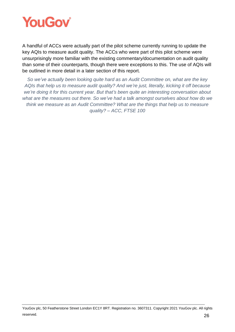

A handful of ACCs were actually part of the pilot scheme currently running to update the key AQIs to measure audit quality. The ACCs who were part of this pilot scheme were unsurprisingly more familiar with the existing commentary/documentation on audit quality than some of their counterparts, though there were exceptions to this. The use of AQIs will be outlined in more detail in a later section of this report.

*So we've actually been looking quite hard as an Audit Committee on, what are the key AQIs that help us to measure audit quality? And we're just, literally, kicking it off because we're doing it for this current year. But that's been quite an interesting conversation about what are the measures out there. So we've had a talk amongst ourselves about how do we think we measure as an Audit Committee? What are the things that help us to measure quality? – ACC, FTSE 100*

YouGov plc, 50 Featherstone Street London EC1Y 8RT. Registration no. 3607311. Copyright 2021 YouGov plc. All rights reserved.  $26$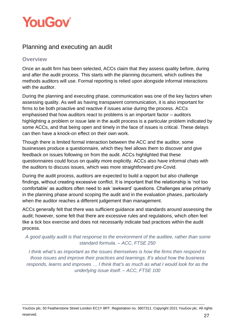

# <span id="page-27-0"></span>Planning and executing an audit

### <span id="page-27-1"></span>**Overview**

Once an audit firm has been selected, ACCs claim that they assess quality before, during and after the audit process. This starts with the planning document, which outlines the methods auditors will use. Formal reporting is relied upon alongside informal interactions with the auditor.

During the planning and executing phase, communication was one of the key factors when assessing quality. As well as having transparent communication, it is also important for firms to be both proactive and reactive if issues arise during the process. ACCs emphasised that how auditors react to problems is an important factor – auditors highlighting a problem or issue late in the audit process is a particular problem indicated by some ACCs, and that being open and timely in the face of issues is critical. These delays can then have a knock-on effect on their own work.

Though there is limited formal interaction between the ACC and the auditor, some businesses produce a questionnaire, which they feel allows them to discover and give feedback on issues following on from the audit. ACCs highlighted that these questionnaires could focus on quality more explicitly. ACCs also have informal chats with the auditors to discuss issues, which was more straightforward pre-Covid.

During the audit process, auditors are expected to build a rapport but also challenge findings, without creating excessive conflict. It is important that the relationship is 'not too comfortable' as auditors often need to ask 'awkward' questions. Challenges arise primarily in the planning phase around scoping the audit and in the evaluation phases, particularly when the auditor reaches a different judgement than management.

ACCs generally felt that there was sufficient guidance and standards around assessing the audit; however, some felt that there are excessive rules and regulations, which often feel like a tick box exercise and does not necessarily indicate bad practices within the audit process.

### *A good quality audit is that response to the environment of the auditee, rather than some standard formula. – ACC, FTSE 250*

*I think what's as important as the issues themselves is how the firms then respond to those issues and improve their practices and learnings. It's about how the business responds, learns and improves … I think that's as much as what I would look for as the underlying issue itself. – ACC, FTSE 100*

YouGov plc, 50 Featherstone Street London EC1Y 8RT. Registration no. 3607311. Copyright 2021 YouGov plc. All rights reserved.  $27$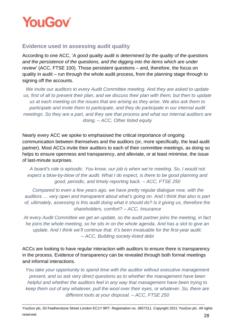

## <span id="page-28-0"></span>**Evidence used in assessing audit quality**

According to one ACC, '*A good quality audit is determined by the quality of the questions and the persistence of the questions, and the digging into the items which are under review*' (ACC, FTSE 100). Those persistent questions – and, therefore, the focus on quality in audit – run through the whole audit process, from the planning stage through to signing off the accounts.

*We invite our auditors to every Audit Committee meeting. And they are asked to update us, first of all to present their plan, and we discuss their plan with them, but then to update us at each meeting on the issues that are arising as they arise. We also ask them to participate and invite them to participate, and they do participate in our internal audit meetings. So they are a part, and they see that process and what our internal auditors are doing. – ACC, Other listed equity*

Nearly every ACC we spoke to emphasised the critical importance of ongoing communication between themselves and the auditors (or, more specifically, the lead audit partner). Most ACCs invite their auditors to each of their committee meetings, as doing so helps to ensure openness and transparency, and alleviate, or at least minimise, the issue of last-minute surprises.

*A board's role is episodic. You know, our job is when we're meeting. So, I would not expect a blow-by-blow of the audit. What I do expect, is there to be good planning and good, periodic, and timely reporting back. – ACC, FTSE 250*

*Compared to even a few years ago, we have pretty regular dialogue now, with the auditors … very open and transparent about what's going on. And I think that also is part of, ultimately, assessing is this audit doing what it should do? Is it giving us, therefore the shareholders, comfort? – ACC, Insurance*

*At every Audit Committee we get an update, so the audit partner joins the meeting, in fact he joins the whole meeting, so he sits in on the whole agenda. And has a slot to give an update. And I think we'll continue that. It's been invaluable for the first-year audit. – ACC, Building society-listed debt*

ACCs are looking to have regular interaction with auditors to ensure there is transparency in the process. Evidence of transparency can be revealed through both formal meetings and informal interactions.

*You take your opportunity to spend time with the auditor without executive management present, and so ask very direct questions as to whether the management have been helpful and whether the auditors feel in any way that management have been trying to keep them out of any whatever, pull the wool over their eyes, or whatever. So, there are different tools at your disposal. – ACC, FTSE 250*

YouGov plc, 50 Featherstone Street London EC1Y 8RT. Registration no. 3607311. Copyright 2021 YouGov plc. All rights reserved. 28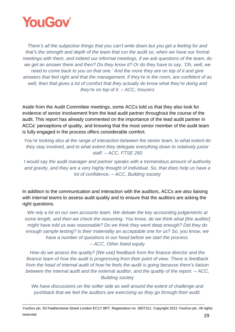

*There's all the subjective things that you can't write down but you get a feeling for and that's the strength and depth of the team that run the audit so, when we have our formal meetings with them, and indeed our informal meetings, if we ask questions of the team, do we get an answer there and then? Do they know it? Or do they have to say, 'Oh, well, we need to come back to you on that one.' And the more they are on top of it and give answers that feel right and that the management, if they're in the room, are confident of as well, then that gives a lot of comfort that they actually do know what they're doing and they're on top of it. – ACC, Insurers*

Aside from the Audit Committee meetings, some ACCs told us that they also look for evidence of senior involvement from the lead audit partner throughout the course of the audit. This report has already commented on the importance of the lead audit partner in ACCs' perceptions of quality, and knowing that the most senior member of the audit team is fully engaged in the process offers considerable comfort.

*You're looking also at the range of interaction between the senior team, to what extent do they stay involved, and to what extent they delegate everything down to relatively junior staff. – ACC, FTSE 250*

*I would say the audit manager and partner speaks with a tremendous amount of authority and gravity, and they are a very highly thought of individual. So, that does help us have a lot of confidence. – ACC, Building society*

In addition to the communication and interaction with the auditors, ACCs are also liaising with internal teams to assess audit quality and to ensure that the auditors are asking the right questions.

*We rely a lot on our own accounts team. We debate the key accounting judgements at some length, and then we check the reasoning. You know, do we think what [the auditor] might have told us was reasonable? Do we think they went deep enough? Did they do enough sample testing? Is their materiality an acceptable one for us? So, you know, we have a number of questions in our head before we start the process. – ACC, Other listed equity*

*How do we assess the quality? [We use] feedback from the finance director and the finance team of how the audit is progressing from their point of view. There is feedback from the head of internal audit of how he feels the audit is going because there's liaison between the internal audit and the external auditor, and the quality of the report. – ACC, Building society*

*We have discussions on the softer side as well around the extent of challenge and pushback that we feel the auditors are exercising as they go through their audit.*

YouGov plc, 50 Featherstone Street London EC1Y 8RT. Registration no. 3607311. Copyright 2021 YouGov plc. All rights reserved. 29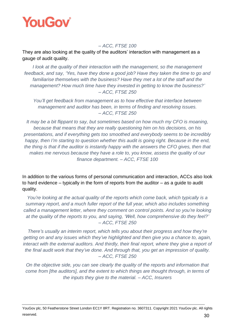

#### *– ACC, FTSE 100*

They are also looking at the quality of the auditors' interaction with management as a gauge of audit quality.

*I look at the quality of their interaction with the management, so the management feedback, and say, 'Yes, have they done a good job? Have they taken the time to go and familiarise themselves with the business? Have they met a lot of the staff and the management? How much time have they invested in getting to know the business?' – ACC, FTSE 250*

*You'll get feedback from management as to how effective that interface between management and auditor has been, in terms of finding and resolving issues. – ACC, FTSE 250*

*It may be a bit flippant to say, but sometimes based on how much my CFO is moaning, because that means that they are really questioning him on his decisions, on his presentations, and if everything gets too smoothed and everybody seems to be incredibly happy, then I'm starting to question whether this audit is going right. Because in the end, the thing is that if the auditor is instantly happy with the answers the CFO gives, then that makes me nervous because they have a role to, you know, assess the quality of our finance department. – ACC, FTSE 100*

In addition to the various forms of personal communication and interaction, ACCs also look to hard evidence – typically in the form of reports from the auditor – as a guide to audit quality.

*You're looking at the actual quality of the reports which come back, which typically is a summary report, and a much fuller report of the full year, which also includes something called a management letter, where they comment on control points. And so you're looking at the quality of the reports to you, and saying, 'Well, how comprehensive do they feel?' – ACC, FTSE 250*

*There's usually an interim report, which tells you about their progress and how they're getting on and any issues which they've highlighted and then give you a chance to, again, interact with the external auditors. And thirdly, their final report, where they give a report of the final audit work that they've done. And through that, you get an impression of quality. – ACC, FTSE 250*

*On the objective side, you can see clearly the quality of the reports and information that come from [the auditors], and the extent to which things are thought through, in terms of the inputs they give to the material. – ACC, Insurers*

YouGov plc, 50 Featherstone Street London EC1Y 8RT. Registration no. 3607311. Copyright 2021 YouGov plc. All rights reserved.  $30$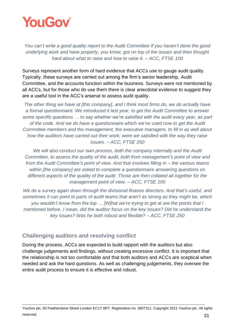

*You can't write a good quality report to the Audit Committee if you haven't done the good underlying work and have properly, you know, got on top of the issues and then thought hard about what to raise and how to raise it. – ACC, FTSE 100*

Surveys represent another form of hard evidence that ACCs use to gauge audit quality. Typically, these surveys are carried out among the firm's senior leadership, Audit Committee, and the accounts function within the business. Surveys were not mentioned by all ACCs, but for those who do use them there is clear anecdotal evidence to suggest they are a useful tool in the ACC's arsenal to assess audit quality.

*The other thing we have at [this company], and I think most firms do, we do actually have a formal questionnaire. We introduced it last year, to get the Audit Committee to answer some specific questions … to say whether we're satisfied with the audit every year, as part of the code. And we do have a questionnaire which we've used now to get the Audit Committee members and the management, the executive managers, to fill in as well about how the auditors have carried out their work; were we satisfied with the way they raise issues. – ACC, FTSE 250*

We will also conduct our own process, both the company internally and the Audit *Committee, to assess the quality of the audit, both from management's point of view and from the Audit Committee's point of view. And that involves filling in – the various teams within [the company] are asked to complete a questionnaire answering questions on different aspects of the quality of the audit. Those are then collated all together for the management point of view. – ACC, FTSE 100*

*We do a survey again down through the divisional finance directors. And that's useful, and sometimes it can point to parts of audit teams that aren't as strong as they might be, which you wouldn't know from the top … [W]hat we're trying to get at are the points that I mentioned before. I mean, did the auditor focus on the key issues? Did he understand the key issues? Was he both robust and flexible? – ACC, FTSE 250*

# <span id="page-31-0"></span>**Challenging auditors and resolving conflict**

During the process, ACCs are expected to build rapport with the auditors but also challenge judgements and findings, without creating excessive conflict. It is important that the relationship is not too comfortable and that both auditors and ACCs are sceptical when needed and ask the hard questions. As well as challenging judgements, they oversee the entire audit process to ensure it is effective and robust.

YouGov plc, 50 Featherstone Street London EC1Y 8RT. Registration no. 3607311. Copyright 2021 YouGov plc. All rights reserved. 31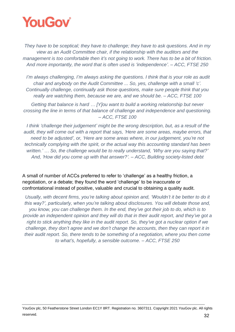

*They have to be sceptical; they have to challenge; they have to ask questions. And in my view as an Audit Committee chair, if the relationship with the auditors and the management is too comfortable then it's not going to work. There has to be a bit of friction. And more importantly, the word that is often used is 'independence'. – ACC, FTSE 250*

*I'm always challenging, I'm always asking the questions. I think that is your role as audit chair and anybody on the Audit Committee ... So, yes, challenge with a small 'c'. Continually challenge, continually ask those questions, make sure people think that you really are watching them, because we are, and we should be. – ACC, FTSE 100*

*Getting that balance is hard … [Y]ou want to build a working relationship but never crossing the line in terms of that balance of challenge and independence and questioning. – ACC, FTSE 100*

*I think 'challenge their judgement' might be the wrong description, but, as a result of the audit, they will come out with a report that says, 'Here are some areas, maybe errors, that need to be adjusted', or, 'Here are some areas where, in our judgement, you're not technically complying with the spirit, or the actual way this accounting standard has been written.' … So, the challenge would be to really understand, 'Why are you saying that?' And, 'How did you come up with that answer?'. – ACC, Building society-listed debt*

A small of number of ACCs preferred to refer to 'challenge' as a healthy friction, a negotiation, or a debate; they found the word 'challenge' to be inaccurate or confrontational instead of positive, valuable and crucial to obtaining a quality audit.

*Usually, with decent firms, you're talking about opinion and, 'Wouldn't it be better to do it this way?', particularly, when you're talking about disclosures. You will debate those and, you know, you can challenge them. In the end, they've got their job to do, which is to provide an independent opinion and they will do that in their audit report, and they've got a right to stick anything they like in the audit report. So, they've got a nuclear option if we challenge, they don't agree and we don't change the accounts, then they can report it in their audit report. So, there tends to be something of a negotiation, where you then come to what's, hopefully, a sensible outcome. – ACC, FTSE 250*

YouGov plc, 50 Featherstone Street London EC1Y 8RT. Registration no. 3607311. Copyright 2021 YouGov plc. All rights reserved.  $32$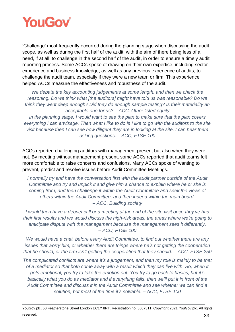

'Challenge' most frequently occurred during the planning stage when discussing the audit scope, as well as during the first half of the audit, with the aim of there being less of a need, if at all, to challenge in the second half of the audit, in order to ensure a timely audit reporting process. Some ACCs spoke of drawing on their own expertise, including sector experience and business knowledge, as well as any previous experience of audits, to challenge the audit team, especially if they were a new team or firm. This experience helped ACCs measure the effectiveness and robustness of the audit.

*We debate the key accounting judgements at some length, and then we check the reasoning. Do we think what [the auditors] might have told us was reasonable? Do we think they went deep enough? Did they do enough sample testing? Is their materiality an acceptable one for us? – ACC, Other listed equity*

*In the planning stage, I would want to see the plan to make sure that the plan covers everything I can envisage. Then what I like to do is I like to go with the auditors to the site visit because then I can see how diligent they are in looking at the site. I can hear them asking questions. – ACC, FTSE 100*

ACCs reported challenging auditors with management present but also when they were not. By meeting without management present, some ACCs reported that audit teams felt more comfortable to raise concerns and confusions. Many ACCs spoke of wanting to prevent, predict and resolve issues before Audit Committee Meetings.

*I normally try and have the conversation first with the audit partner outside of the Audit Committee and try and unpick it and give him a chance to explain where he or she is coming from, and then challenge it within the Audit Committee and seek the views of others within the Audit Committee, and then indeed within the main board. – ACC, Building society*

*I would then have a debrief call or a meeting at the end of the site visit once they've had their first results and we would discuss the high-risk areas, the areas where we're going to anticipate dispute with the management because the management sees it differently. – ACC, FTSE 100*

*We would have a chat, before every Audit Committee, to find out whether there are any issues that worry him, or whether there are things where he's not getting the cooperation that he should, or the firm isn't getting the cooperation that they should. – ACC, FTSE 250*

*The complicated conflicts are where it's a judgement, and then my role is mainly to be that of a mediator so that both come away with a result which they can live with. So, when it gets emotional, you try to take the emotion out. You try to go back to basics, but it's basically what you do as mediator and if everything fails, then we'll put it in front of the Audit Committee and discuss it in the Audit Committee and see whether we can find a solution, but most of the time it's solvable. – ACC, FTSE 100*

YouGov plc, 50 Featherstone Street London EC1Y 8RT. Registration no. 3607311. Copyright 2021 YouGov plc. All rights reserved. 23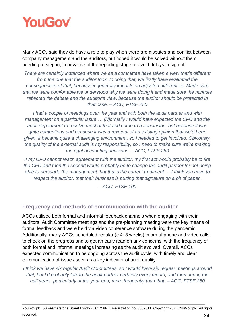

Many ACCs said they do have a role to play when there are disputes and conflict between company management and the auditors, but hoped it would be solved without them needing to step in, in advance of the reporting stage to avoid delays in sign off.

*There are certainly instances where we as a committee have taken a view that's different from the one that the auditor took. In doing that, we firstly have evaluated the consequences of that, because it generally impacts on adjusted differences. Made sure that we were comfortable we understood why we were doing it and made sure the minutes reflected the debate and the auditor's view, because the auditor should be protected in that case. – ACC, FTSE 250*

*I had a couple of meetings over the year end with both the audit partner and with management on a particular issue … [N]ormally I would have expected the CFO and the audit department to resolve most of that and come to a conclusion, but because it was quite contentious and because it was a reversal of an existing opinion that we'd been given, it became quite a challenging environment, so I needed to get involved. Obviously, the quality of the external audit is my responsibility, so I need to make sure we're making the right accounting decisions. – ACC, FTSE 250*

*If my CFO cannot reach agreement with the auditor, my first act would probably be to fire the CFO and then the second would probably be to change the audit partner for not being able to persuade the management that that's the correct treatment … I think you have to respect the auditor, that their business is putting that signature on a bit of paper.*

*– ACC, FTSE 100*

## <span id="page-34-0"></span>**Frequency and methods of communication with the auditor**

ACCs utilised both formal and informal feedback channels when engaging with their auditors. Audit Committee meetings and the pre-planning meeting were the key means of formal feedback and were held via video conference software during the pandemic. Additionally, many ACCs scheduled regular (*c.*4–8 weeks) informal phone and video calls to check on the progress and to get an early read on any concerns, with the frequency of both formal and informal meetings increasing as the audit evolved. Overall, ACCs expected communication to be ongoing across the audit cycle, with timely and clear communication of issues seen as a key indicator of audit quality.

*I think we have six regular Audit Committees, so I would have six regular meetings around that, but I'd probably talk to the audit partner certainly every month, and then during the half years, particularly at the year end, more frequently than that. – ACC, FTSE 250*

YouGov plc, 50 Featherstone Street London EC1Y 8RT. Registration no. 3607311. Copyright 2021 YouGov plc. All rights reserved.  $34$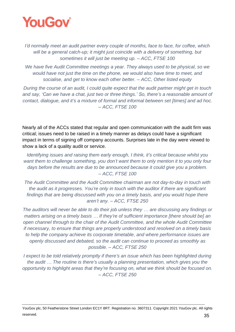

*I'd normally meet an audit partner every couple of months, face to face, for coffee, which will be a general catch-up; it might just coincide with a delivery of something, but sometimes it will just be meeting up. – ACC, FTSE 100*

*We have five Audit Committee meetings a year. They always used to be physical, so we would have not just the time on the phone, we would also have time to meet, and socialise, and get to know each other better. – ACC, Other listed equity*

*During the course of an audit, I could quite expect that the audit partner might get in touch and say, 'Can we have a chat, just two or three things.' So, there's a reasonable amount of contact, dialogue, and it's a mixture of formal and informal between set [times] and ad hoc. – ACC, FTSE 100*

Nearly all of the ACCs stated that regular and open communication with the audit firm was critical; issues need to be raised in a timely manner as delays could have a significant impact in terms of signing off company accounts. Surprises late in the day were viewed to show a lack of a quality audit or service.

*Identifying issues and raising them early enough, I think, it's critical because whilst you want them to challenge something, you don't want them to only mention it to you only four days before the results are due to be announced because it could give you a problem. – ACC, FTSE 100*

*The Audit Committee and the Audit Committee chairman are not day-to-day in touch with the audit as it progresses. You're only in touch with the auditor if there are significant findings that are being discussed with you on a timely basis, and you would hope there aren't any. – ACC, FTSE 250*

*The auditors will never be able to do their job unless they … are discussing any findings or matters arising on a timely basis … If they're of sufficient importance [there should be] an open channel through to the chair of the Audit Committee, and the whole Audit Committee if necessary, to ensure that things are properly understood and resolved on a timely basis to help the company achieve its corporate timetable, and where performance issues are openly discussed and debated, so the audit can continue to proceed as smoothly as possible. – ACC, FTSE 250*

*I* expect to be told relatively promptly if there's an issue which has been highlighted during *the audit … The routine is there's usually a planning presentation, which gives you the opportunity to highlight areas that they're focusing on, what we think should be focused on. – ACC, FTSE 250*

YouGov plc, 50 Featherstone Street London EC1Y 8RT. Registration no. 3607311. Copyright 2021 YouGov plc. All rights reserved. 25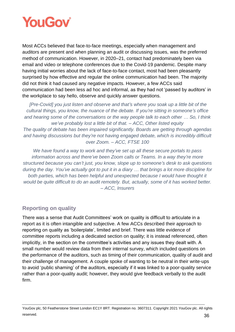

Most ACCs believed that face-to-face meetings, especially when management and auditors are present and when planning an audit or discussing issues, was the preferred method of communication. However, in 2020–21, contact had predominately been via email and video or telephone conferences due to the Covid-19 pandemic. Despite many having initial worries about the lack of face-to-face contact, most had been pleasantly surprised by how effective and regular the online communication had been. The majority did not think it had caused any negative impacts. However, a few ACCs said communication had been less ad hoc and informal, as they had not 'passed by auditors' in the workplace to say hello, observe and quickly answer questions.

*[Pre-Covid] you just listen and observe and that's where you soak up a little bit of the cultural things, you know, the nuance of the debate. If you're sitting in someone's office and hearing some of the conversations or the way people talk to each other … So, I think we've probably lost a little bit of that. – ACC, Other listed equity The quality of debate has been impaired significantly. Boards are getting through agendas and having discussions but they're not having engaged debate, which is incredibly difficult over Zoom. – ACC, FTSE 100*

*We have found a way to work and they've set up all these secure portals to pass information across and there've been Zoom calls or Teams. In a way they're more structured because you can't just, you know, slope up to someone's desk to ask questions during the day. You've actually got to put it in a diary … that brings a lot more discipline for*  both parties, which has been helpful and unexpected because I would have thought it *would be quite difficult to do an audit remotely. But, actually, some of it has worked better. – ACC, Insurers*

## <span id="page-36-0"></span>**Reporting on quality**

There was a sense that Audit Committees' work on quality is difficult to articulate in a report as it is often intangible and subjective. A few ACCs described their approach to reporting on quality as 'boilerplate', limited and brief. There was little evidence of committee reports including a dedicated section on quality; it is instead referenced, often implicitly, in the section on the committee's activities and any issues they dealt with. A small number would review data from their internal survey, which included questions on the performance of the auditors, such as timing of their communication, quality of audit and their challenge of management. A couple spoke of wanting to be neutral in their write-ups to avoid 'public shaming' of the auditors, especially if it was linked to a poor-quality service rather than a poor-quality audit; however, they would give feedback verbally to the audit firm.

YouGov plc, 50 Featherstone Street London EC1Y 8RT. Registration no. 3607311. Copyright 2021 YouGov plc. All rights reserved. 36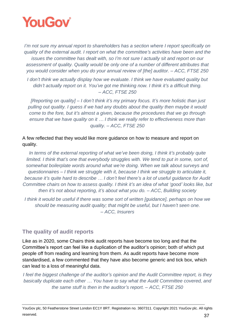

*I'm not sure my annual report to shareholders has a section where I report specifically on quality of the external audit. I report on what the committee's activities have been and the issues the committee has dealt with, so I'm not sure I actually sit and report on our assessment of quality. Quality would be only one of a number of different attributes that you would consider when you do your annual review of [the] auditor. – ACC, FTSE 250*

*I don't think we actually display how we evaluate. I think we have evaluated quality but didn't actually report on it. You've got me thinking now. I think it's a difficult thing. – ACC, FTSE 250*

*[Reporting on quality] – I don't think it's my primary focus. It's more holistic than just pulling out quality. I guess if we had any doubts about the quality then maybe it would come to the fore, but it's almost a given, because the procedures that we go through ensure that we have quality on it … I think we really refer to effectiveness more than quality. – ACC, FTSE 250*

A few reflected that they would like more guidance on how to measure and report on quality.

*In terms of the external reporting of what we've been doing, I think it's probably quite limited. I think that's one that everybody struggles with. We tend to put in some, sort of, somewhat boilerplate words around what we're doing. When we talk about surveys and questionnaires – I think we struggle with it, because I think we struggle to articulate it, because it's quite hard to describe … I don't feel there's a lot of useful guidance for Audit Committee chairs on how to assess quality. I think it's an idea of what 'good' looks like, but then it's not about reporting, it's about what you do. – ACC, Building society*

*I think it would be useful if there was some sort of written [guidance], perhaps on how we should be measuring audit quality; that might be useful, but I haven't seen one. – ACC, Insurers*

# <span id="page-37-0"></span>**The quality of audit reports**

Like as in 2020, some Chairs think audit reports have become too long and that the Committee's report can feel like a duplication of the auditor's opinion; both of which put people off from reading and learning from them. As audit reports have become more standardised, a few commented that they have also become generic and tick box, which can lead to a loss of meaningful data.

*I feel the biggest challenge of the auditor's opinion and the Audit Committee report, is they basically duplicate each other … You have to say what the Audit Committee covered, and the same stuff is then in the auditor's report. – ACC, FTSE 250*

YouGov plc, 50 Featherstone Street London EC1Y 8RT. Registration no. 3607311. Copyright 2021 YouGov plc. All rights reserved.  $37$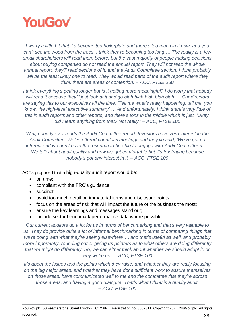

*I worry a little bit that it's become too boilerplate and there's too much in it now, and you can't see the wood from the trees. I think they're becoming too long … The reality is a few small shareholders will read them before, but the vast majority of people making decisions about buying companies do not read the annual report. They will not read the whole annual report, they'll read sections of it, and the Audit Committee section, I think probably will be the least likely one to read. They would read parts of the audit report where they think there are areas of contention. – ACC, FTSE 250*

*I think everything's getting longer but is it getting more meaningful? I do worry that nobody will read it because they'll just look at it and go blah blah blah blah blah … Our directors are saying this to our executives all the time, 'Tell me what's really happening, tell me, you know, the high-level executive summary' … And unfortunately, I think there's very little of this in audit reports and other reports, and there's tons in the middle which is just, 'Okay, did I learn anything from that? Not really.' – ACC, FTSE 100*

*Well, nobody ever reads the Audit Committee report. Investors have zero interest in the Audit Committee. We've offered countless meetings and they've said, 'We've got no interest and we don't have the resource to be able to engage with Audit Committees' … We talk about audit quality and how we get comfortable but it's frustrating because nobody's got any interest in it. – ACC, FTSE 100*

ACCs proposed that a high-quality audit report would be:

- on time;
- compliant with the FRC's guidance;
- succinct:
- avoid too much detail on immaterial items and disclosure points;
- focus on the areas of risk that will impact the future of the business the most;
- ensure the key learnings and messages stand out;
- include sector benchmark performance data where possible.

*Our current auditors do a lot for us in terms of benchmarking and that's very valuable to us. They do provide quite a lot of informal benchmarking in terms of comparing things that we're doing with what they're seeing elsewhere … and that's useful as well, and probably more importantly, rounding out or giving us pointers as to what others are doing differently that we might do differently. So, we can either think about whether we should adopt it, or why we're not. – ACC, FTSE 100*

It's about the issues and the points which they raise, and whether they are really focusing *on the big major areas, and whether they have done sufficient work to assure themselves on those areas, have communicated well to me and the committee that they're across those areas, and having a good dialogue. That's what I think is a quality audit. – ACC, FTSE 100*

YouGov plc, 50 Featherstone Street London EC1Y 8RT. Registration no. 3607311. Copyright 2021 YouGov plc. All rights reserved. **38**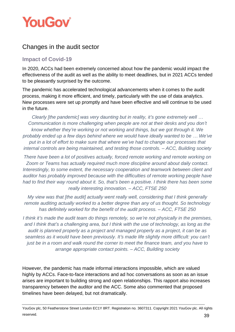

# <span id="page-39-0"></span>Changes in the audit sector

## <span id="page-39-1"></span>**Impact of Covid-19**

In 2020, ACCs had been extremely concerned about how the pandemic would impact the effectiveness of the audit as well as the ability to meet deadlines, but in 2021 ACCs tended to be pleasantly surprised by the outcome.

The pandemic has accelerated technological advancements when it comes to the audit process, making it more efficient, and timely, particularly with the use of data analytics. New processes were set up promptly and have been effective and will continue to be used in the future.

*Clearly [the pandemic] was very daunting but in reality, it's gone extremely well … Communication is more challenging when people are not at their desks and you don't know whether they're working or not working and things, but we got through it. We probably ended up a few days behind where we would have ideally wanted to be … We've* 

*put in a lot of effort to make sure that where we've had to change our processes that internal controls are being maintained, and testing those controls. – ACC, Building society*

*There have been a lot of positives actually, forced remote working and remote working on Zoom or Teams has actually required much more discipline around about daily contact. Interestingly, to some extent, the necessary cooperation and teamwork between client and auditor has probably improved because with the difficulties of remote working people have had to find their way round about it. So, that's been a positive. I think there has been some really interesting innovation. – ACC, FTSE 250*

*My view was that [the audit] actually went really well, considering that I think generally remote auditing actually worked to a better degree than any of us thought. So technology has definitely worked for the benefit of the audit process. – ACC, FTSE 250*

*I think it's made the audit team do things remotely, so we're not physically in the premises, and I think that's a challenging area, but I think with the use of technology, as long as the audit is planned properly as a project and managed properly as a project, it can be as seamless as it would have been previously. It's made life slightly more difficult: you can't just be in a room and walk round the corner to meet the finance team, and you have to arrange appropriate contact points. – ACC, Building society*

However, the pandemic has made informal interactions impossible, which are valued highly by ACCs. Face-to-face interactions and ad hoc conversations as soon as an issue arises are important to building strong and open relationships. This rapport also increases transparency between the auditor and the ACC. Some also commented that proposed timelines have been delayed, but not dramatically.

YouGov plc, 50 Featherstone Street London EC1Y 8RT. Registration no. 3607311. Copyright 2021 YouGov plc. All rights reserved. 29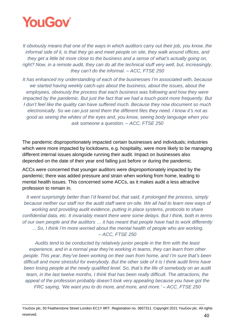

*It obviously means that one of the ways in which auditors carry out their job, you know, the informal side of it, is that they go and meet people on site, they walk around offices, and they get a little bit more close to the business and a sense of what's actually going on,*  right? Now, in a remote audit, they can do all the technical stuff very well, but, increasingly, *they can't do the informal. – ACC, FTSE 250*

*It has enhanced my understanding of each of the businesses I'm associated with, because we started having weekly catch-ups about the business, about the issues, about the employees, obviously the process that each business was following and how they were impacted by the pandemic. But just the fact that we had a touch-point more frequently. But I don't feel like the quality can have suffered much. Because they now document so much electronically. So we can just send them the different files they need. I know it's not as good as seeing the whites of the eyes and, you know, seeing body language when you ask someone a question. – ACC, FTSE 250*

The pandemic disproportionately impacted certain businesses and individuals; industries which were more impacted by lockdowns, e.g. hospitality, were more likely to be managing different internal issues alongside running their audit. Impact on businesses also depended on the date of their year end falling just before or during the pandemic.

ACCs were concerned that younger auditors were disproportionately impacted by the pandemic; there was added pressure and strain when working from home, leading to mental health issues. This concerned some ACCs, as it makes audit a less attractive profession to remain in.

*It went surprisingly better than I'd feared but, that said, it prolonged the process, simply because neither our staff nor the audit staff were on-site. We all had to learn new ways of working and providing audit evidence, putting in place systems, protocols to share confidential data, etc. It invariably meant there were some delays. But I think, both in terms of our own people and the auditors … it has meant that people have had to work differently … So, I think I'm more worried about the mental health of people who are working. – ACC, FTSE 250*

*Audits tend to be conducted by relatively junior people in the firm with the least experience, and in a normal year they're working in teams, they can learn from other people. This year, they've been working on their own from home, and I'm sure that's been difficult and more stressful for everybody. But the other side of it is I think audit firms have been losing people at the newly qualified level. So, that's the life of somebody on an audit team, in the last twelve months, I think that has been really difficult. The attractions, the appeal of the profession probably doesn't look very appealing because you have got the FRC saying, 'We want you to do more, and more, and more.' – ACC, FTSE 250*

YouGov plc, 50 Featherstone Street London EC1Y 8RT. Registration no. 3607311. Copyright 2021 YouGov plc. All rights reserved.  $40$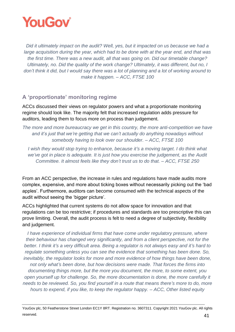

*Did it ultimately impact on the audit? Well, yes, but it impacted on us because we had a large acquisition during the year, which had to be done with at the year end, and that was the first time. There was a new audit, all that was going on. Did our timetable change? Ultimately, no. Did the quality of the work change? Ultimately, it was different, but no, I don't think it did, but I would say there was a lot of planning and a lot of working around to make it happen. – ACC, FTSE 100*

# <span id="page-41-0"></span>**A 'proportionate' monitoring regime**

ACCs discussed their views on regulator powers and what a proportionate monitoring regime should look like. The majority felt that increased regulation adds pressure for auditors, leading them to focus more on process than judgement.

*The more and more bureaucracy we get in this country, the more anti-competition we have and it's just that we're getting that we can't actually do anything nowadays without somebody having to look over our shoulder. – ACC, FTSE 100* 

*I* wish they would stop trying to enhance, because it's a moving target. I do think what *we've got in place is adequate. It is just how you exercise the judgement, as the Audit Committee. It almost feels like they don't trust us to do that. – ACC, FTSE 250*

From an ACC perspective, the increase in rules and regulations have made audits more complex, expensive, and more about ticking boxes without necessarily picking out the 'bad apples'. Furthermore, auditors can become consumed with the technical aspects of the audit without seeing the 'bigger picture'.

ACCs highlighted that current systems do not allow space for innovation and that regulations can be too restrictive; if procedures and standards are too prescriptive this can prove limiting. Overall, the audit process is felt to need a degree of subjectivity, flexibility and judgement.

*I have experience of individual firms that have come under regulatory pressure, where their behaviour has changed very significantly, and from a client perspective, not for the better. I think it's a very difficult area. Being a regulator is not always easy and it's hard to regulate something unless you can see the evidence that something has been done. So, inevitably, the regulator looks for more and more evidence of how things have been done, not only what's been done, but how decisions were made. That forces the firms into documenting things more, but the more you document, the more, to some extent, you open yourself up for challenge. So, the more documentation is done, the more carefully it needs to be reviewed. So, you find yourself in a route that means there's more to do, more hours to expend, if you like, to keep the regulator happy. – ACC, Other listed equity*

YouGov plc, 50 Featherstone Street London EC1Y 8RT. Registration no. 3607311. Copyright 2021 YouGov plc. All rights reserved.  $41$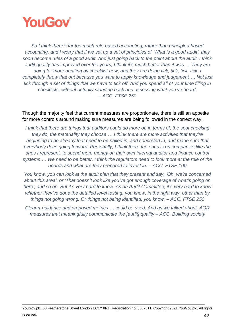

*So I think there's far too much rule-based accounting, rather than principles-based accounting, and I worry that if we set up a set of principles of 'What is a good audit', they soon become rules of a good audit. And just going back to the point about the audit, I think audit quality has improved over the years, I think it's much better than it was … They are doing far more auditing by checklist now, and they are doing tick, tick, tick, tick. I completely throw that out because you want to apply knowledge and judgement … Not just tick through a set of things that we have to tick off. And you spend all of your time filling in checklists, without actually standing back and assessing what you've heard. – ACC, FTSE 250*

Though the majority feel that current measures are proportionate, there is still an appetite for more controls around making sure measures are being followed in the correct way.

*I think that there are things that auditors could do more of, in terms of, the spot checking they do, the materiality they choose … I think there are more activities that they're beginning to do already that need to be nailed in, and concreted in, and made sure that everybody does going forward. Personally, I think there the onus is on companies like the ones I represent, to spend more money on their own internal auditor and finance control systems … We need to be better. I think the regulators need to look more at the role of the boards and what are they prepared to invest in. – ACC, FTSE 100*

*You know, you can look at the audit plan that they present and say, 'Oh, we're concerned about this area', or 'That doesn't look like you've got enough coverage of what's going on here', and so on. But it's very hard to know. As an Audit Committee, it's very hard to know whether they've done the detailed level testing, you know, in the right way, other than by things not going wrong. Or things not being identified, you know. – ACC, FTSE 250*

*Clearer guidance and proposed metrics … could be used. And as we talked about, AQR measures that meaningfully communicate the [audit] quality – ACC, Building society*

YouGov plc, 50 Featherstone Street London EC1Y 8RT. Registration no. 3607311. Copyright 2021 YouGov plc. All rights reserved.  $42$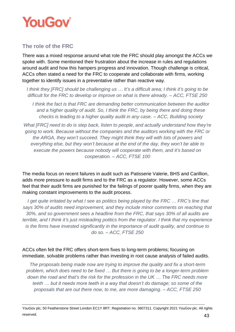

# <span id="page-43-0"></span>**The role of the FRC**

There was a mixed response around what role the FRC should play amongst the ACCs we spoke with. Some mentioned their frustration about the increase in rules and regulations around audit and how this hampers progress and innovation. Though challenge is critical, ACCs often stated a need for the FRC to cooperate and collaborate with firms, working together to identify issues in a preventative rather than reactive way.

*I think they [FRC] should be challenging us … It's a difficult area; I think it's going to be difficult for the FRC to develop or improve on what is there already. – ACC, FTSE 250*

*I think the fact is that FRC are demanding better communication between the auditor and a higher quality of audit. So, I think the FRC, by being there and doing these checks is leading to a higher quality audit in any case. – ACC, Building society*

*What [FRC] need to do is step back, listen to people, and actually understand how they're going to work. Because without the companies and the auditors working with the FRC or the ARGA, they won't succeed. They might think they will with lots of powers and everything else, but they won't because at the end of the day, they won't be able to execute the powers because nobody will cooperate with them, and it's based on cooperation. – ACC, FTSE 100*

The media focus on recent failures in audit such as Patisserie Valerie, BHS and Carillion, adds more pressure to audit firms and to the FRC as a regulator. However, some ACCs feel that their audit firms are punished for the failings of poorer quality firms, when they are making constant improvements to the audit process.

*I get quite irritated by what I see as politics being played by the FRC … FRC's line that says 30% of audits need improvement, and they include minor comments on reaching that 30%, and so government sees a headline from the FRC, that says 30% of all audits are terrible, and I think it's just misleading politics from the regulator. I think that my experience is the firms have invested significantly in the importance of audit quality, and continue to do so. – ACC, FTSE 250*

ACCs often felt the FRC offers short-term fixes to long-term problems; focusing on immediate, solvable problems rather than investing in root cause analysis of failed audits.

*The proposals being made now are trying to improve the quality and fix a short-term problem, which does need to be fixed … But there is going to be a longer-term problem down the road and that's the risk for the profession in the UK … The FRC needs more teeth … but it needs more teeth in a way that doesn't do damage; so some of the proposals that are out there now, to me, are more damaging. – ACC, FTSE 250*

YouGov plc, 50 Featherstone Street London EC1Y 8RT. Registration no. 3607311. Copyright 2021 YouGov plc. All rights reserved.  $43$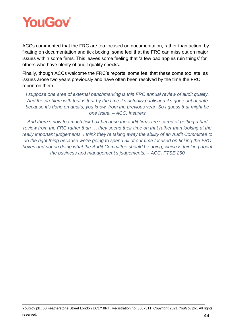

ACCs commented that the FRC are too focused on documentation, rather than action; by fixating on documentation and tick boxing, some feel that the FRC can miss out on major issues within some firms. This leaves some feeling that 'a few bad apples ruin things' for others who have plenty of audit quality checks.

Finally, though ACCs welcome the FRC's reports, some feel that these come too late, as issues arose two years previously and have often been resolved by the time the FRC report on them.

*I suppose one area of external benchmarking is this FRC annual review of audit quality. And the problem with that is that by the time it's actually published it's gone out of date because it's done on audits, you know, from the previous year. So I guess that might be one issue. – ACC, Insurers*

*And there's now too much tick box because the audit firms are scared of getting a bad review from the FRC rather than … they spend their time on that rather than looking at the really important judgements. I think they're taking away the ability of an Audit Committee to do the right thing because we're going to spend all of our time focused on ticking the FRC boxes and not on doing what the Audit Committee should be doing, which is thinking about the business and management's judgements. – ACC, FTSE 250*

YouGov plc, 50 Featherstone Street London EC1Y 8RT. Registration no. 3607311. Copyright 2021 YouGov plc. All rights reserved.  $44$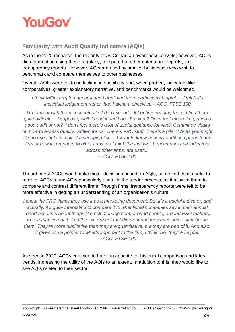

# <span id="page-45-0"></span>**Familiarity with Audit Quality Indicators (AQIs)**

As in the 2020 research, the majority of ACCs had an awareness of AQIs; however, ACCs did not mention using these regularly, compared to other criteria and reports, e.g. transparency reports. However, AQIs are used by smaller businesses who wish to benchmark and compare themselves to other businesses.

Overall, AQIs were felt to be lacking in specificity and, when probed, indicators like comparatives, greater explanatory narrative, and benchmarks would be welcomed.

*I think [AQIs are] too general and I don't find them particularly helpful … I think it's individual judgement rather than having a checklist. – ACC, FTSE 100* 

*I'm familiar with them conceptually, I don't spend a lot of time reading them, I find them quite difficult … I suppose, well, I read it and I go, 'So what? Does that mean I'm getting a good audit or not?' I don't feel there's a lot of useful guidance for Audit Committee chairs on how to assess quality, written for us. There's FRC stuff, 'Here's a pile of AQIs you might like to use', but it's a bit of a shopping list … I want to know how my audit compares to the firm or how it compares to other firms; so I think the last two, benchmarks and indicators across other firms, are useful. – ACC, FTSE 100*

Though most ACCs won't make major decisions based on AQIs, some find them useful to refer to. ACCs found AQIs particularly useful in the tender process, as it allowed them to compare and contrast different firms. Though firms' transparency reports were felt to be more effective in getting an understanding of an organisation's culture.

*I know the FRC thinks they use it as a marketing document. But it's a useful indicator, and actually, it's quite interesting to compare it to what listed companies say in their annual report accounts about things like risk management, around people, around ESG matters, to see that side of it. And the two are not that different and they have some statistics in them. They're more qualitative than they are quantitative, but they are part of it. And also, it gives you a pointer to what's important to the firm, I think. So, they're helpful. – ACC, FTSE 100*

As seen in 2020, ACCs continue to have an appetite for historical comparison and latest trends, increasing the utility of the AQIs to an extent. In addition to this, they would like to see AQIs related to their sector.

YouGov plc, 50 Featherstone Street London EC1Y 8RT. Registration no. 3607311. Copyright 2021 YouGov plc. All rights reserved.  $45$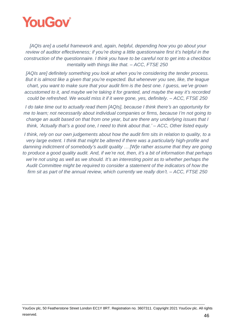

*[AQIs are] a useful framework and, again, helpful, depending how you go about your review of auditor effectiveness; if you're doing a little questionnaire first it's helpful in the construction of the questionnaire. I think you have to be careful not to get into a checkbox mentality with things like that. – ACC, FTSE 250*

*[AQIs are] definitely something you look at when you're considering the tender process. But it is almost like a given that you're expected. But whenever you see, like, the league chart, you want to make sure that your audit firm is the best one. I guess, we've grown accustomed to it, and maybe we're taking it for granted, and maybe the way it's recorded could be refreshed. We would miss it if it were gone, yes, definitely. – ACC, FTSE 250*

*I do take time out to actually read them [AQIs], because I think there's an opportunity for me to learn; not necessarily about individual companies or firms, because I'm not going to change an audit based on that from one year, but are there any underlying issues that I think, 'Actually that's a good one, I need to think about that.' – ACC, Other listed equity*

*I think, rely on our own judgements about how the audit firm sits in relation to quality, to a very large extent. I think that might be altered if there was a particularly high-profile and damning indictment of somebody's audit quality … [W]e rather assume that they are going to produce a good quality audit. And, if we're not, then, it's a bit of information that perhaps we're not using as well as we should. It's an interesting point as to whether perhaps the Audit Committee might be required to consider a statement of the indicators of how the firm sit as part of the annual review, which currently we really don't. – ACC, FTSE 250*

YouGov plc, 50 Featherstone Street London EC1Y 8RT. Registration no. 3607311. Copyright 2021 YouGov plc. All rights reserved.  $46$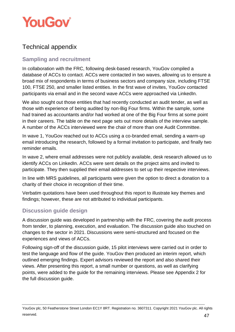

# <span id="page-47-0"></span>Technical appendix

# <span id="page-47-1"></span>**Sampling and recruitment**

In collaboration with the FRC, following desk-based research, YouGov compiled a database of ACCs to contact. ACCs were contacted in two waves, allowing us to ensure a broad mix of respondents in terms of business sectors and company size, including FTSE 100, FTSE 250, and smaller listed entities. In the first wave of invites, YouGov contacted participants via email and in the second wave ACCs were approached via LinkedIn.

We also sought out those entities that had recently conducted an audit tender, as well as those with experience of being audited by non-Big Four firms. Within the sample, some had trained as accountants and/or had worked at one of the Big Four firms at some point in their careers. The table on the next page sets out more details of the interview sample. A number of the ACCs interviewed were the chair of more than one Audit Committee.

In wave 1, YouGov reached out to ACCs using a co-branded email, sending a warm-up email introducing the research, followed by a formal invitation to participate, and finally two reminder emails.

In wave 2, where email addresses were not publicly available, desk research allowed us to identify ACCs on LinkedIn. ACCs were sent details on the project aims and invited to participate. They then supplied their email addresses to set up their respective interviews.

In line with MRS guidelines, all participants were given the option to direct a donation to a charity of their choice in recognition of their time.

Verbatim quotations have been used throughout this report to illustrate key themes and findings; however, these are not attributed to individual participants.

## <span id="page-47-2"></span>**Discussion guide design**

A discussion guide was developed in partnership with the FRC, covering the audit process from tender, to planning, execution, and evaluation. The discussion guide also touched on changes to the sector in 2021. Discussions were semi-structured and focused on the experiences and views of ACCs.

Following sign-off of the discussion guide, 15 pilot interviews were carried out in order to test the language and flow of the guide. YouGov then produced an interim report, which outlined emerging findings. Expert advisors reviewed the report and also shared their views. After presenting this report, a small number or questions, as well as clarifying points, were added to the guide for the remaining interviews. Please see Appendix 2 for the full discussion guide.

YouGov plc, 50 Featherstone Street London EC1Y 8RT. Registration no. 3607311. Copyright 2021 YouGov plc. All rights reserved.  $47$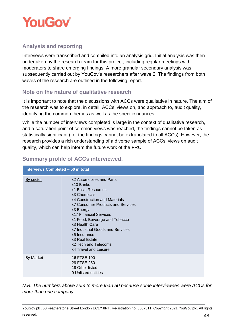

# <span id="page-48-0"></span>**Analysis and reporting**

Interviews were transcribed and compiled into an analysis grid. Initial analysis was then undertaken by the research team for this project, including regular meetings with moderators to share emerging findings. A more granular secondary analysis was subsequently carried out by YouGov's researchers after wave 2. The findings from both waves of the research are outlined in the following report.

## <span id="page-48-1"></span>**Note on the nature of qualitative research**

It is important to note that the discussions with ACCs were qualitative in nature. The aim of the research was to explore, in detail, ACCs' views on, and approach to, audit quality, identifying the common themes as well as the specific nuances.

While the number of interviews completed is large in the context of qualitative research, and a saturation point of common views was reached, the findings cannot be taken as statistically significant (i.e. the findings cannot be extrapolated to all ACCs). However, the research provides a rich understanding of a diverse sample of ACCs' views on audit quality, which can help inform the future work of the FRC.

| Interviews Completed - 50 in total |                                                                                                                                                                                                                                                                                                                                                                    |  |
|------------------------------------|--------------------------------------------------------------------------------------------------------------------------------------------------------------------------------------------------------------------------------------------------------------------------------------------------------------------------------------------------------------------|--|
| By sector                          | x2 Automobiles and Parts<br>x10 Banks<br>x1 Basic Resources<br>x3 Chemicals<br>x4 Construction and Materials<br>x7 Consumer Products and Services<br>x3 Energy<br>x17 Financial Services<br>x1 Food, Beverage and Tobacco<br>x3 Health Care<br>x7 Industrial Goods and Services<br>x6 Insurance<br>x3 Real Estate<br>x2 Tech and Telecoms<br>x4 Travel and Leisure |  |
| <b>By Market</b>                   | 16 FTSE 100<br>29 FTSE 250<br>19 Other listed<br>9 Unlisted entities                                                                                                                                                                                                                                                                                               |  |

## <span id="page-48-2"></span>**Summary profile of ACCs interviewed.**

*N.B. The numbers above sum to more than 50 because some interviewees were ACCs for more than one company.*

YouGov plc, 50 Featherstone Street London EC1Y 8RT. Registration no. 3607311. Copyright 2021 YouGov plc. All rights reserved.  $48$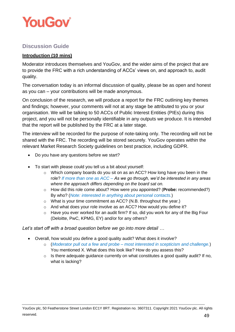

# <span id="page-49-0"></span>**Discussion Guide**

#### **Introduction (10 mins)**

Moderator introduces themselves and YouGov, and the wider aims of the project that are to provide the FRC with a rich understanding of ACCs' views on, and approach to, audit quality.

The conversation today is an informal discussion of quality, please be as open and honest as you can – your contributions will be made anonymous.

On conclusion of the research, we will produce a report for the FRC outlining key themes and findings; however, your comments will not at any stage be attributed to you or your organisation. We will be talking to 50 ACCs of Public Interest Entities (PIEs) during this project, and you will not be personally identifiable in any outputs we produce. It is intended that the report will be published by the FRC at a later stage.

The interview will be recorded for the purpose of note-taking only. The recording will not be shared with the FRC. The recording will be stored securely. YouGov operates within the relevant Market Research Society guidelines on best practice, including GDPR.

- Do you have any questions before we start?
- To start with please could you tell us a bit about yourself:
	- $\circ$  Which company boards do you sit on as an ACC? How long have you been in the role? *If more than one as ACC – As we go through, we'd be interested in any areas where the approach differs depending on the board sat on.*
	- o How did this role come about? How were you appointed? (**Probe:** recommended?) By who? (*Note: interested in anything about personal contacts.*)
	- o What is your time commitment as ACC? (N.B. throughout the year.)
	- o And what does your role involve as an ACC? How would you define it?
	- $\circ$  Have you ever worked for an audit firm? If so, did you work for any of the Big Four (Deloitte, PwC, KPMG, EY) and/or for any others?

*Let's start off with a broad question before we go into more detail …*

- Overall, how would you define a good quality audit? What does it involve?
	- o (*Moderator pull out a few and probe – most interested in scepticism and challenge.*) You mentioned X. What does this look like? How do you assess this?
	- $\circ$  Is there adequate guidance currently on what constitutes a good quality audit? If no, what is lacking?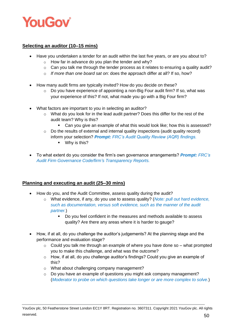

#### **Selecting an auditor (10–15 mins)**

- Have you undertaken a tender for an audit within the last five years, or are you about to?
	- $\circ$  How far in advance do you plan the tender and why?
	- $\circ$  Can you talk me through the tender process as it relates to ensuring a quality audit?
	- o *If more than one board sat on*: does the approach differ at all? If so, how?
- How many audit firms are typically invited? How do you decide on these?
	- $\circ$  Do you have experience of appointing a non-Big Four audit firm? If so, what was your experience of this? If not, what made you go with a Big Four firm?
- What factors are important to you in selecting an auditor?
	- o What do you look for in the lead audit partner? Does this differ for the rest of the audit team? Why is this?
		- Can you give an example of what this would look like; how this is assessed?
	- o Do the results of external and internal quality inspections (audit quality record) inform your selection? *Prompt: FRC's Audit Quality Review (AQR) findings.*
		- Why is this?
- To what extent do you consider the firm's own governance arrangements? *Prompt: FRC's Audit Firm Governance Code/firm's Transparency Reports.*

#### **Planning and executing an audit (25–30 mins)**

- How do you, and the Audit Committee, assess quality during the audit?
	- o What evidence, if any, do you use to assess quality? (*Note: pull out hard evidence, such as documentation, versus soft evidence, such as the manner of the audit partner.*)
		- Do you feel confident in the measures and methods available to assess quality? Are there any areas where it is harder to gauge?
- How, if at all, do you challenge the auditor's judgements? At the planning stage and the performance and evaluation stage?
	- $\circ$  Could you talk me through an example of where you have done so what prompted you to make this challenge, and what was the outcome?
	- $\circ$  How, if at all, do you challenge auditor's findings? Could you give an example of this?
	- o What about challenging company management?
	- o Do you have an example of questions you might ask company management? (*Moderator to probe on which questions take longer or are more complex to solve.*)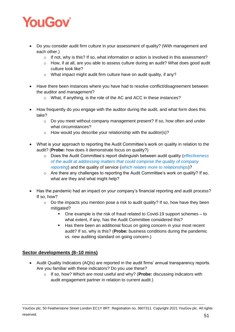# **YouGov**

- Do you consider audit firm culture in your assessment of quality? (With management and each other.)
	- $\circ$  If not, why is this? If so, what information or action is involved in this assessment?
	- $\circ$  How, if at all, are you able to assess culture during an audit? What does good audit culture look like?
	- o What impact might audit firm culture have on audit quality, if any?
- Have there been instances where you have had to resolve conflict/disagreement between the auditor and management?
	- o What, if anything, is the role of the AC and ACC in these instances?
- How frequently do you engage with the auditor during the audit, and what form does this take?
	- o Do you meet without company management present? If so, how often and under what circumstances?
	- $\circ$  How would you describe your relationship with the auditor(s)?
- What is your approach to reporting the Audit Committee's work on quality in relation to the audit? (**Probe:** how does it demonstrate focus on quality?)
	- o Does the Audit Committee's report distinguish between audit quality (*effectiveness of the audit at addressing matters that could comprise the quality of company reporting*) and the quality of service (*which relates more to relationships*)?
	- o Are there any challenges to reporting the Audit Committee's work on quality? If so, what are they and what might help?
- Has the pandemic had an impact on your company's financial reporting and audit process? If so, how?
	- $\circ$  Do the impacts you mention pose a risk to audit quality? If so, how have they been mitigated?
		- One example is the risk of fraud related to Covid-19 support schemes to what extent, if any, has the Audit Committee considered this?
		- Has there been an additional focus on going concern in your most recent audit? If so, why is this? (**Probe:** business conditions during the pandemic vs. new auditing standard on going concern.)

#### **Sector developments (8–10 mins)**

- Audit Quality Indicators (AQIs) are reported in the audit firms' annual transparency reports. Are you familiar with these indicators? Do you use these?
	- o If so, how? Which are most useful and why? (**Probe:** discussing indicators with audit engagement partner in relation to current audit.)

YouGov plc, 50 Featherstone Street London EC1Y 8RT. Registration no. 3607311. Copyright 2021 YouGov plc. All rights reserved.  $51$